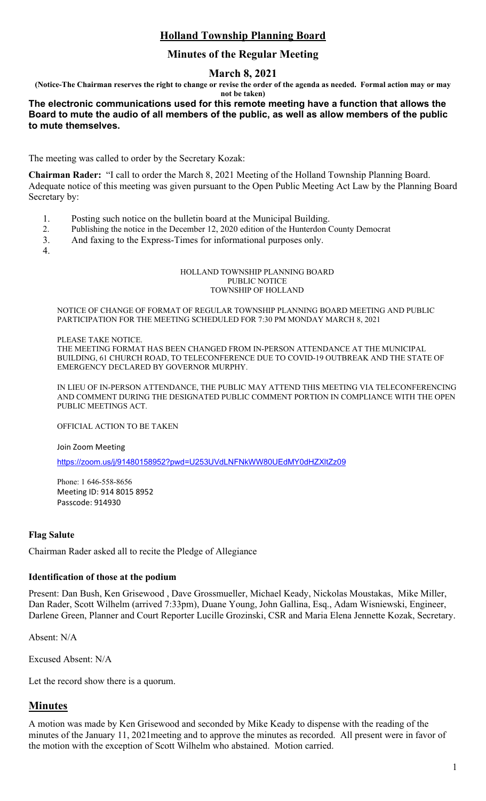# **Holland Township Planning Board**

# **Minutes of the Regular Meeting**

# **March 8, 2021**

**(Notice-The Chairman reserves the right to change or revise the order of the agenda as needed. Formal action may or may** 

**not be taken)**

# **The electronic communications used for this remote meeting have a function that allows the Board to mute the audio of all members of the public, as well as allow members of the public to mute themselves.**

The meeting was called to order by the Secretary Kozak:

**Chairman Rader:** "I call to order the March 8, 2021 Meeting of the Holland Township Planning Board. Adequate notice of this meeting was given pursuant to the Open Public Meeting Act Law by the Planning Board Secretary by:

- 1. Posting such notice on the bulletin board at the Municipal Building.
- 2. Publishing the notice in the December 12, 2020 edition of the Hunterdon County Democrat
- 3. And faxing to the Express-Times for informational purposes only.
- 4.

### HOLLAND TOWNSHIP PLANNING BOARD PUBLIC NOTICE TOWNSHIP OF HOLLAND

NOTICE OF CHANGE OF FORMAT OF REGULAR TOWNSHIP PLANNING BOARD MEETING AND PUBLIC PARTICIPATION FOR THE MEETING SCHEDULED FOR 7:30 PM MONDAY MARCH 8, 2021

# PLEASE TAKE NOTICE.

THE MEETING FORMAT HAS BEEN CHANGED FROM IN-PERSON ATTENDANCE AT THE MUNICIPAL BUILDING, 61 CHURCH ROAD, TO TELECONFERENCE DUE TO COVID-19 OUTBREAK AND THE STATE OF EMERGENCY DECLARED BY GOVERNOR MURPHY.

IN LIEU OF IN-PERSON ATTENDANCE, THE PUBLIC MAY ATTEND THIS MEETING VIA TELECONFERENCING AND COMMENT DURING THE DESIGNATED PUBLIC COMMENT PORTION IN COMPLIANCE WITH THE OPEN PUBLIC MEETINGS ACT.

OFFICIAL ACTION TO BE TAKEN

Join Zoom Meeting

<https://zoom.us/j/91480158952?pwd=U253UVdLNFNkWW80UEdMY0dHZXltZz09>

Phone: 1 646-558-8656 Meeting ID: 914 8015 8952 Passcode: 914930

# **Flag Salute**

Chairman Rader asked all to recite the Pledge of Allegiance

# **Identification of those at the podium**

Present: Dan Bush, Ken Grisewood , Dave Grossmueller, Michael Keady, Nickolas Moustakas, Mike Miller, Dan Rader, Scott Wilhelm (arrived 7:33pm), Duane Young, John Gallina, Esq., Adam Wisniewski, Engineer, Darlene Green, Planner and Court Reporter Lucille Grozinski, CSR and Maria Elena Jennette Kozak, Secretary.

Absent: N/A

Excused Absent: N/A

Let the record show there is a quorum.

# **Minutes**

A motion was made by Ken Grisewood and seconded by Mike Keady to dispense with the reading of the minutes of the January 11, 2021meeting and to approve the minutes as recorded. All present were in favor of the motion with the exception of Scott Wilhelm who abstained. Motion carried.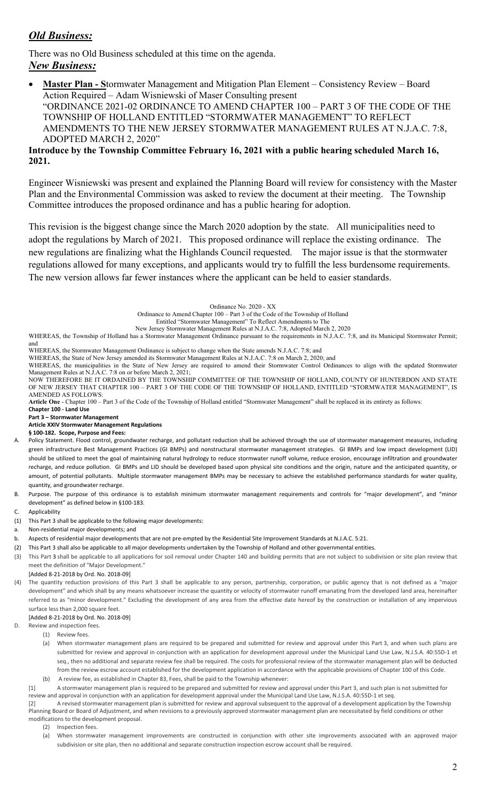# *Old Business:*

There was no Old Business scheduled at this time on the agenda. *New Business:*

• **Master Plan - S**tormwater Management and Mitigation Plan Element – Consistency Review – Board Action Required – Adam Wisniewski of Maser Consulting present "ORDINANCE 2021-02 ORDINANCE TO AMEND CHAPTER 100 – PART 3 OF THE CODE OF THE TOWNSHIP OF HOLLAND ENTITLED "STORMWATER MANAGEMENT" TO REFLECT AMENDMENTS TO THE NEW JERSEY STORMWATER MANAGEMENT RULES AT N.J.A.C. 7:8, ADOPTED MARCH 2, 2020"

# **Introduce by the Township Committee February 16, 2021 with a public hearing scheduled March 16, 2021.**

Engineer Wisniewski was present and explained the Planning Board will review for consistency with the Master Plan and the Environmental Commission was asked to review the document at their meeting. The Township Committee introduces the proposed ordinance and has a public hearing for adoption.

This revision is the biggest change since the March 2020 adoption by the state. All municipalities need to adopt the regulations by March of 2021. This proposed ordinance will replace the existing ordinance. The new regulations are finalizing what the Highlands Council requested. The major issue is that the stormwater regulations allowed for many exceptions, and applicants would try to fulfill the less burdensome requirements. The new version allows far fewer instances where the applicant can be held to easier standards.

Ordinance No. 2020 - XX

Ordinance to Amend Chapter 100 – Part 3 of the Code of the Township of Holland

Entitled "Stormwater Management" To Reflect Amendments to The New Jersey Stormwater Management Rules at N.J.A.C. 7:8, Adopted March 2, 2020

WHEREAS, the Township of Holland has a Stormwater Management Ordinance pursuant to the requirements in N.J.A.C. 7:8, and its Municipal Stormwater Permit; and

WHEREAS, the Stormwater Management Ordinance is subject to change when the State amends N.J.A.C. 7:8; and

WHEREAS, the State of New Jersey amended its Stormwater Management Rules at N.J.A.C. 7:8 on March 2, 2020; and

WHEREAS, the municipalities in the State of New Jersey are required to amend their Stormwater Control Ordinances to align with the updated Stormwater Management Rules at N.J.A.C. 7:8 on or before March 2, 2021; NOW THEREFORE BE IT ORDAINED BY THE TOWNSHIP COMMITTEE OF THE TOWNSHIP OF HOLLAND, COUNTY OF HUNTERDON AND STATE

OF NEW JERSEY THAT CHAPTER 100 – PART 3 OF THE CODE OF THE TOWNSHIP OF HOLLAND, ENTITLED "STORMWATER MANAGEMENT", IS AMENDED AS FOLLOWS:

**Article One** - Chapter 100 – Part 3 of the Code of the Township of Holland entitled "Stormwater Management" shall be replaced in its entirety as follows:

**Chapter 100 - Land Use**

## **Part 3 – Stormwater Management**

### **Article XXIV Stormwater Management Regulations**

**§ 100-182. Scope, Purpose and Fees:**

Policy Statement. Flood control, groundwater recharge, and pollutant reduction shall be achieved through the use of stormwater management measures, including green infrastructure Best Management Practices (GI BMPs) and nonstructural stormwater management strategies. GI BMPs and low impact development (LID) should be utilized to meet the goal of maintaining natural hydrology to reduce stormwater runoff volume, reduce erosion, encourage infiltration and groundwater recharge, and reduce pollution. GI BMPs and LID should be developed based upon physical site conditions and the origin, nature and the anticipated quantity, or amount, of potential pollutants. Multiple stormwater management BMPs may be necessary to achieve the established performance standards for water quality, quantity, and groundwater recharge.

B. Purpose. The purpose of this ordinance is to establish minimum stormwater management requirements and controls for "major development", and "minor development" as defined below in §100-183.

### C. Applicability

- (1) This Part 3 shall be applicable to the following major developments:
- a. Non-residential major developments; and
- b. Aspects of residential major developments that are not pre-empted by the Residential Site Improvement Standards at N.J.A.C. 5:21.
- (2) This Part 3 shall also be applicable to all major developments undertaken by the Township of Holland and other governmental entities.
- (3) This Part [3](https://ecode360.com/14109322#14109322) shall be applicable to all applications for soil removal under Chapter 140 and building permits that are not subject to subdivision or site plan review that meet the definition of "Major Development."
- [Added 8-21-2018 by Ord. No. 2018-09]
- (4) The quantity reduction provisions of this Part 3 shall be applicable to any person, partnership, corporation, or public agency that is not defined as a "major development" and which shall by any means whatsoever increase the quantity or velocity of stormwater runoff emanating from the developed land area, hereinafter referred to as "minor development." Excluding the development of any area from the effective date hereof by the construction or installation of any impervious surface less than 2,000 square feet.

[Added 8-21-2018 by Ord. No. 2018-09]

- D. Review and inspection fees.
	- (1) Review fees.
	- (a) When stormwater management plans are required to be prepared and submitted for review and approval under this Part 3, and when such plans are submitted for review and approval in conjunction with an application for development approval under the Municipal Land Use Law, N.J.S.A. 40:55D-1 et seq., then no additional and separate review fee shall be required. The costs for professional review of the stormwater management plan will be deducted from the review escrow account established for the development application in accordance with the applicable provisions of Chapter 100 of this Code. (b) A review fee, as established in Chapter 83, Fees, shall be paid to the Township whenever:
	- [1] A stormwater management plan is required to be prepared and submitted for review and approval under this Part 3, and such plan is not submitted for review and approval in conjunction with an application for development approval under the Municipal Land Use Law, N.J.S.A. 40:55D-1 et seq.

[2] A revised stormwater management plan is submitted for review and approval subsequent to the approval of a development application by the Township Planning Board or Board of Adjustment, and when revisions to a previously approved stormwater management plan are necessitated by field conditions or other modifications to the development proposal.

- (2) Inspection fees.
- (a) When stormwater management improvements are constructed in conjunction with other site improvements associated with an approved major subdivision or site plan, then no additional and separate construction inspection escrow account shall be required.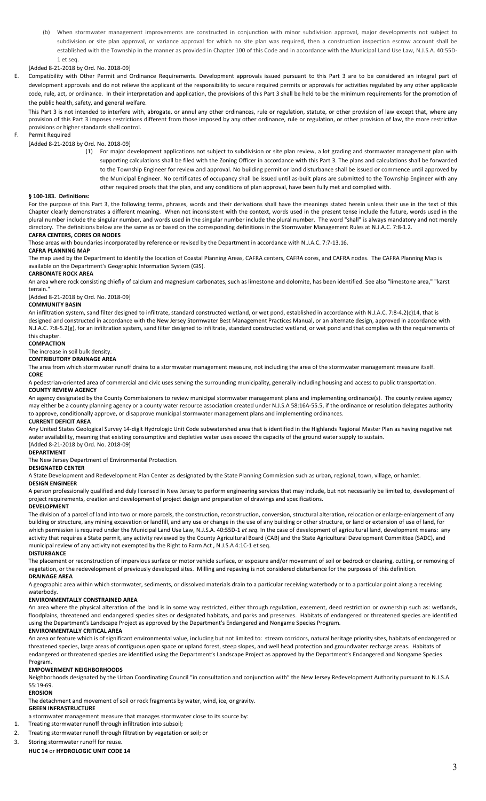(b) When stormwater management improvements are constructed in conjunction with minor subdivision approval, major developments not subject to subdivision or site plan approval, or variance approval for which no site plan was required, then a construction inspection escrow account shall be established with the Township in the manner as provided in Chapter 100 of this Code and in accordance with the Municipal Land Use Law, N.J.S.A. 40:55D-1 et seq.

### [Added 8-21-2018 by Ord. No. 2018-09]

E. Compatibility with Other Permit and Ordinance Requirements. Development approvals issued pursuant to this Part 3 are to be considered an integral part of development approvals and do not relieve the applicant of the responsibility to secure required permits or approvals for activities regulated by any other applicable code, rule, act, or ordinance. In their interpretation and application, the provisions of this Part 3 shall be held to be the minimum requirements for the promotion of the public health, safety, and general welfare.

This Part 3 is not intended to interfere with, abrogate, or annul any other ordinances, rule or regulation, statute, or other provision of law except that, where any provision of this Part 3 imposes restrictions different from those imposed by any other ordinance, rule or regulation, or other provision of law, the more restrictive provisions or higher standards shall control.

### F. Permit Required

[Added 8-21-2018 by Ord. No. 2018-09]

(1) For major development applications not subject to subdivision or site plan review, a lot grading and stormwater management plan with supporting calculations shall be filed with the Zoning Officer in accordance with this Part 3. The plans and calculations shall be forwarded to the Township Engineer for review and approval. No building permit or land disturbance shall be issued or commence until approved by the Municipal Engineer. No certificates of occupancy shall be issued until as-built plans are submitted to the Township Engineer with any other required proofs that the plan, and any conditions of plan approval, have been fully met and complied with.

#### **§ 100-183. Definitions:**

For the purpose of this Part 3, the following terms, phrases, words and their derivations shall have the meanings stated herein unless their use in the text of this Chapter clearly demonstrates a different meaning. When not inconsistent with the context, words used in the present tense include the future, words used in the plural number include the singular number, and words used in the singular number include the plural number. The word "shall" is always mandatory and not merely directory. The definitions below are the same as or based on the corresponding definitions in the Stormwater Management Rules at N.J.A.C. 7:8-1.2. **CAFRA CENTERS, CORES OR NODES**

Those areas with boundaries incorporated by reference or revised by the Department in accordance with N.J.A.C. 7:7-13.16.

### **CAFRA PLANNING MAP**

The map used by the Department to identify the location of Coastal Planning Areas, CAFRA centers, CAFRA cores, and CAFRA nodes. The CAFRA Planning Map is available on the Department's Geographic Information System (GIS).

### **CARBONATE ROCK AREA**

An area where rock consisting chiefly of calcium and magnesium carbonates, such as limestone and dolomite, has been identified. See also "limestone area," "karst

## terrain."

[Added 8-21-2018 by Ord. No. 2018-09]

## **COMMUNITY BASIN**

An infiltration system, sand filter designed to infiltrate, standard constructed wetland, or wet pond, established in accordance with N.J.A.C. 7:8-4.2(c)14, that is designed and constructed in accordance with the New Jersey Stormwater Best Management Practices Manual, or an alternate design, approved in accordance with N.J.A.C. 7:8-5.2(g), for an infiltration system, sand filter designed to infiltrate, standard constructed wetland, or wet pond and that complies with the requirements of this chapter.

#### **COMPACTION**

The increase in soil bulk density.

#### **CONTRIBUTORY DRAINAGE AREA**

The area from which stormwater runoff drains to a stormwater management measure, not including the area of the stormwater management measure itself.

### **CORE**

A pedestrian-oriented area of commercial and civic uses serving the surrounding municipality, generally including housing and access to public transportation. **COUNTY REVIEW AGENCY**

An agency designated by the County Commissioners to review municipal stormwater management plans and implementing ordinance(s). The county review agency may either be a county planning agency or a county water resource association created under N.J.S.A 58:16A-55.5, if the ordinance or resolution delegates authority to approve, conditionally approve, or disapprove municipal stormwater management plans and implementing ordinances.

### **CURRENT DEFICIT AREA**

Any United States Geological Survey 14-digit Hydrologic Unit Code subwatershed area that is identified in the Highlands Regional Master Plan as having negative net water availability, meaning that existing consumptive and depletive water uses exceed the capacity of the ground water supply to sustain. [Added 8-21-2018 by Ord. No. 2018-09]

#### **DEPARTMENT**

The New Jersey Department of Environmental Protection.

#### **DESIGNATED CENTER**

A State Development and Redevelopment Plan Center as designated by the State Planning Commission such as urban, regional, town, village, or hamlet.

#### **DESIGN ENGINEER**

A person professionally qualified and duly licensed in New Jersey to perform engineering services that may include, but not necessarily be limited to, development of project requirements, creation and development of project design and preparation of drawings and specifications.

#### **DEVELOPMENT**

The division of a parcel of land into two or more parcels, the construction, reconstruction, conversion, structural alteration, relocation or enlarge-enlargement of any building or structure, any mining excavation or landfill, and any use or change in the use of any building or other structure, or land or extension of use of land, for which permission is required under the Municipal Land Use Law, N.J.S.A. 40:55D-1 *et seq*. In the case of development of agricultural land, development means: any activity that requires a State permit, any activity reviewed by the County Agricultural Board (CAB) and the State Agricultural Development Committee (SADC), and municipal review of any activity not exempted by the Right to Farm Act , N.J.S.A 4:1C-1 et seq. **DISTURBANCE**

The placement or reconstruction of impervious surface or motor vehicle surface, or exposure and/or movement of soil or bedrock or clearing, cutting, or removing of vegetation, or the redevelopment of previously developed sites. Milling and repaving is not considered disturbance for the purposes of this definition. **DRAINAGE AREA**

A geographic area within which stormwater, sediments, or dissolved materials drain to a particular receiving waterbody or to a particular point along a receiving waterbody.

#### **ENVIRONMENTALLY CONSTRAINED AREA**

An area where the physical alteration of the land is in some way restricted, either through regulation, easement, deed restriction or ownership such as: wetlands, floodplains, threatened and endangered species sites or designated habitats, and parks and preserves. Habitats of endangered or threatened species are identified using the Department's Landscape Project as approved by the Department's Endangered and Nongame Species Program.

### **ENVIRONMENTALLY CRITICAL AREA**

An area or feature which is of significant environmental value, including but not limited to: stream corridors, natural heritage priority sites, habitats of endangered or threatened species, large areas of contiguous open space or upland forest, steep slopes, and well head protection and groundwater recharge areas. Habitats of endangered or threatened species are identified using the Department's Landscape Project as approved by the Department's Endangered and Nongame Species Program.

#### **EMPOWERMENT NEIGHBORHOODS**

Neighborhoods designated by the Urban Coordinating Council "in consultation and conjunction with" the New Jersey Redevelopment Authority pursuant to N.J.S.A 55:19-69.

#### **EROSION**

The detachment and movement of soil or rock fragments by water, wind, ice, or gravity.

# **GREEN INFRASTRUCTURE**

a stormwater management measure that manages stormwater close to its source by:

1. Treating stormwater runoff through infiltration into subsoil;

### 2. Treating stormwater runoff through filtration by vegetation or soil; or

3. Storing stormwater runoff for reuse.

**HUC 14** or **HYDROLOGIC UNIT CODE 14**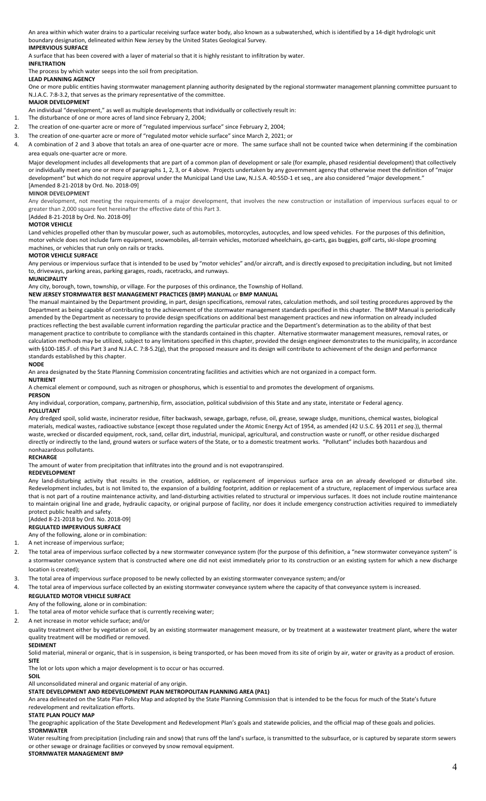An area within which water drains to a particular receiving surface water body, also known as a subwatershed, which is identified by a 14-digit hydrologic unit boundary designation, delineated within New Jersey by the United States Geological Survey.

### **IMPERVIOUS SURFACE**

A surface that has been covered with a layer of material so that it is highly resistant to infiltration by water.

### **INFILTRATION**

The process by which water seeps into the soil from precipitation.

### **LEAD PLANNING AGENCY**

One or more public entities having stormwater management planning authority designated by the regional stormwater management planning committee pursuant to N.J.A.C. 7:8-3.2, that serves as the primary representative of the committee.

### **MAJOR DEVELOPMENT**

An individual "development," as well as multiple developments that individually or collectively result in:

- 1. The disturbance of one or more acres of land since February 2, 2004;
- 2. The creation of one-quarter acre or more of "regulated impervious surface" since February 2, 2004;
- 3. The creation of one-quarter acre or more of "regulated motor vehicle surface" since March 2, 2021; or

4. A combination of 2 and 3 above that totals an area of one-quarter acre or more. The same surface shall not be counted twice when determining if the combination area equals one-quarter acre or more.

Major development includes all developments that are part of a common plan of development or sale (for example, phased residential development) that collectively or individually meet any one or more of paragraphs 1, 2, 3, or 4 above. Projects undertaken by any government agency that otherwise meet the definition of "major development" but which do not require approval under the Municipal Land Use Law, N.J.S.A. 40:55D-1 et seq., are also considered "major development." [Amended 8-21-2018 by Ord. No. 2018-09]

#### **MINOR DEVELOPMENT**

Any development, not meeting the requirements of a major development, that involves the new construction or installation of impervious surfaces equal to or greater than 2,000 square feet hereinafter the effective date of this Part 3.

### [Added 8-21-2018 by Ord. No. 2018-09]

### **MOTOR VEHICLE**

Land vehicles propelled other than by muscular power, such as automobiles, motorcycles, autocycles, and low speed vehicles. For the purposes of this definition, motor vehicle does not include farm equipment, snowmobiles, all-terrain vehicles, motorized wheelchairs, go-carts, gas buggies, golf carts, ski-slope grooming machines, or vehicles that run only on rails or tracks.

#### **MOTOR VEHICLE SURFACE**

Any pervious or impervious surface that is intended to be used by "motor vehicles" and/or aircraft, and is directly exposed to precipitation including, but not limited to, driveways, parking areas, parking garages, roads, racetracks, and runways.

#### **MUNICIPALITY**

Any city, borough, town, township, or village. For the purposes of this ordinance, the Township of Holland.

### **NEW JERSEY STORMWATER BEST MANAGEMENT PRACTICES (BMP) MANUAL** or **BMP MANUAL**

The manual maintained by the Department providing, in part, design specifications, removal rates, calculation methods, and soil testing procedures approved by the Department as being capable of contributing to the achievement of the stormwater management standards specified in this chapter. The BMP Manual is periodically amended by the Department as necessary to provide design specifications on additional best management practices and new information on already included practices reflecting the best available current information regarding the particular practice and the Department's determination as to the ability of that best management practice to contribute to compliance with the standards contained in this chapter. Alternative stormwater management measures, removal rates, or calculation methods may be utilized, subject to any limitations specified in this chapter, provided the design engineer demonstrates to the municipality, in accordance with §100-185.F. of this Part 3 and N.J.A.C. 7:8-5.2(g), that the proposed measure and its design will contribute to achievement of the design and performance standards established by this chapter.

#### **NODE**

An area designated by the State Planning Commission concentrating facilities and activities which are not organized in a compact form.

### **NUTRIENT**

A chemical element or compound, such as nitrogen or phosphorus, which is essential to and promotes the development of organisms.

#### **PERSON**

Any individual, corporation, company, partnership, firm, association, political subdivision of this State and any state, interstate or Federal agency.

#### **POLLUTANT**

Any dredged spoil, solid waste, incinerator residue, filter backwash, sewage, garbage, refuse, oil, grease, sewage sludge, munitions, chemical wastes, biological materials, medical wastes, radioactive substance (except those regulated under the Atomic Energy Act of 1954, as amended (42 U.S.C. §§ 2011 *et seq*.)), thermal waste, wrecked or discarded equipment, rock, sand, cellar dirt, industrial, municipal, agricultural, and construction waste or runoff, or other residue discharged directly or indirectly to the land, ground waters or surface waters of the State, or to a domestic treatment works. "Pollutant" includes both hazardous and nonhazardous pollutants.

#### **RECHARGE**

The amount of water from precipitation that infiltrates into the ground and is not evapotranspired.

### **REDEVELOPMENT**

Any land-disturbing activity that results in the creation, addition, or replacement of impervious surface area on an already developed or disturbed site. Redevelopment includes, but is not limited to, the expansion of a building footprint, addition or replacement of a structure, replacement of impervious surface area that is not part of a routine maintenance activity, and land-disturbing activities related to structural or impervious surfaces. It does not include routine maintenance to maintain original line and grade, hydraulic capacity, or original purpose of facility, nor does it include emergency construction activities required to immediately protect public health and safety.

### [Added 8-21-2018 by Ord. No. 2018-09]

**REGULATED IMPERVIOUS SURFACE** 

Any of the following, alone or in combination:

### 1. A net increase of impervious surface;

- 2. The total area of impervious surface collected by a new stormwater conveyance system (for the purpose of this definition, a "new stormwater conveyance system" is a stormwater conveyance system that is constructed where one did not exist immediately prior to its construction or an existing system for which a new discharge location is created);
- 3. The total area of impervious surface proposed to be newly collected by an existing stormwater conveyance system; and/or
- The total area of impervious surface collected by an existing stormwater conveyance system where the capacity of that conveyance system is increased.

### **REGULATED MOTOR VEHICLE SURFACE**

- Any of the following, alone or in combination:
- 1. The total area of motor vehicle surface that is currently receiving water;
- 2. A net increase in motor vehicle surface; and/or

quality treatment either by vegetation or soil, by an existing stormwater management measure, or by treatment at a wastewater treatment plant, where the water quality treatment will be modified or removed.

### **SEDIMENT**

Solid material, mineral or organic, that is in suspension, is being transported, or has been moved from its site of origin by air, water or gravity as a product of erosion. **SITE**

The lot or lots upon which a major development is to occur or has occurred.

**SOIL** All unconsolidated mineral and organic material of any origin.

**STATE DEVELOPMENT AND REDEVELOPMENT PLAN METROPOLITAN PLANNING AREA (PA1)**

An area delineated on the State Plan Policy Map and adopted by the State Planning Commission that is intended to be the focus for much of the State's future redevelopment and revitalization efforts.

### **STATE PLAN POLICY MAP**

The geographic application of the State Development and Redevelopment Plan's goals and statewide policies, and the official map of these goals and policies. **STORMWATER**

Water resulting from precipitation (including rain and snow) that runs off the land's surface, is transmitted to the subsurface, or is captured by separate storm sewers or other sewage or drainage facilities or conveyed by snow removal equipment.

#### **STORMWATER MANAGEMENT BMP**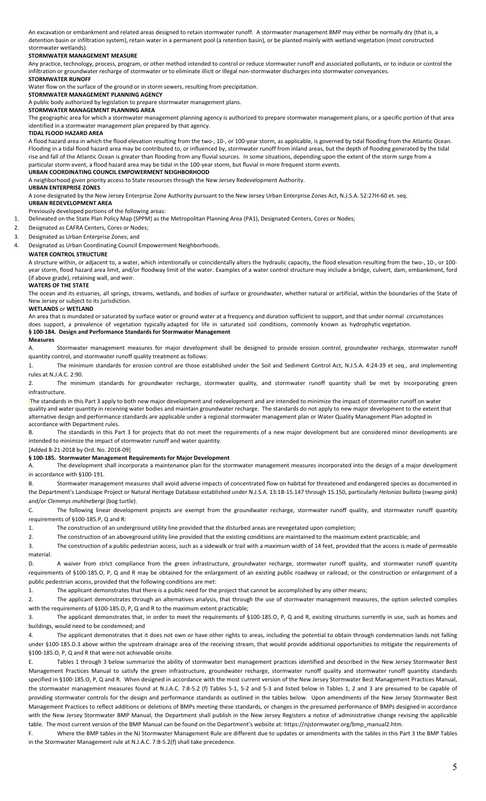An excavation or embankment and related areas designed to retain stormwater runoff. A stormwater management BMP may either be normally dry (that is, a detention basin or infiltration system), retain water in a permanent pool (a retention basin), or be planted mainly with wetland vegetation (most constructed stormwater wetlands).

#### **STORMWATER MANAGEMENT MEASURE**

Any practice, technology, process, program, or other method intended to control or reduce stormwater runoff and associated pollutants, or to induce or control the infiltration or groundwater recharge of stormwater or to eliminate illicit or illegal non-stormwater discharges into stormwater conveyances.

### **STORMWATER RUNOFF**

Water flow on the surface of the ground or in storm sewers, resulting from precipitation.

### **STORMWATER MANAGEMENT PLANNING AGENCY**

A public body authorized by legislation to prepare stormwater management plans.

### **STORMWATER MANAGEMENT PLANNING AREA**

The geographic area for which a stormwater management planning agency is authorized to prepare stormwater management plans, or a specific portion of that area identified in a stormwater management plan prepared by that agency.

#### **TIDAL FLOOD HAZARD AREA**

A flood hazard area in which the flood elevation resulting from the two-, 10-, or 100-year storm, as applicable, is governed by tidal flooding from the Atlantic Ocean. Flooding in a tidal flood hazard area may be contributed to, or influenced by, stormwater runoff from inland areas, but the depth of flooding generated by the tidal rise and fall of the Atlantic Ocean is greater than flooding from any fluvial sources. In some situations, depending upon the extent of the storm surge from a particular storm event, a flood hazard area may be tidal in the 100-year storm, but fluvial in more frequent storm events.

**URBAN COORDINATING COUNCIL EMPOWERMENT NEIGHBORHOOD**

A neighborhood given priority access to State resources through the New Jersey Redevelopment Authority.

#### **URBAN ENTERPRISE ZONES**

A zone designated by the New Jersey Enterprise Zone Authority pursuant to the New Jersey Urban Enterprise Zones Act, N.J.S.A. 52:27H-60 et. seq.

# **URBAN REDEVELOPMENT AREA**

Previously developed portions of the following areas:

1. Delineated on the State Plan Policy Map (SPPM) as the Metropolitan Planning Area (PA1), Designated Centers, Cores or Nodes;

#### 2. Designated as CAFRA Centers, Cores or Nodes;

3. Designated as Urban Enterprise Zones; and

#### 4. Designated as Urban Coordinating Council Empowerment Neighborhoods.

#### **WATER CONTROL STRUCTURE**

A structure within, or adjacent to, a water, which intentionally or coincidentally alters the hydraulic capacity, the flood elevation resulting from the two-, 10-, or 100 year storm, flood hazard area limit, and/or floodway limit of the water. Examples of a water control structure may include a bridge, culvert, dam, embankment, ford (if above grade), retaining wall, and weir.

### **WATERS OF THE STATE**

The ocean and its estuaries, all springs, streams, wetlands, and bodies of surface or groundwater, whether natural or artificial, within the boundaries of the State of New Jersey or subject to its jurisdiction.

#### **WETLANDS** or **WETLAND**

An area that is inundated or saturated by surface water or ground water at a frequency and duration sufficient to support, and that under normal circumstances does support, a prevalence of vegetation typically adapted for life in saturated soil conditions, commonly known as hydrophytic vegetation. **§ 100-184. Design and Performance Standards for Stormwater Management** 

#### **Measures**

A. Stormwater management measures for major development shall be designed to provide erosion control, groundwater recharge, stormwater runoff quantity control, and stormwater runoff quality treatment as follows:

1. The minimum standards for erosion control are those established under the Soil and Sediment Control Act, N.J.S.A. 4:24-39 et seq., and implementing rules at N.J.A.C. 2:90.

2. The minimum standards for groundwater recharge, stormwater quality, and stormwater runoff quantity shall be met by incorporating green infrastructure.

The standards in this Part 3 apply to both new major development and redevelopment and are intended to minimize the impact of stormwater runoff on water quality and water quantity in receiving water bodies and maintain groundwater recharge. The standards do not apply to new major development to the extent that alternative design and performance standards are applicable under a regional stormwater management plan or Water Quality Management Plan adopted in accordance with Department rules.

B. The standards in this Part 3 for projects that do not meet the requirements of a new major development but are considered minor developments are intended to minimize the impact of stormwater runoff and water quantity.

[Added 8-21-2018 by Ord. No. 2018-09]

#### **§ 100-185. Stormwater Management Requirements for Major Development**

A. The development shall incorporate a maintenance plan for the stormwater management measures incorporated into the design of a major development in accordance with §100-191.

B. Stormwater management measures shall avoid adverse impacts of concentrated flow on habitat for threatened and endangered species as documented in the Department's Landscape Project or Natural Heritage Database established under N.J.S.A. 13:1B-15.147 through 15.150, particularly *Helonias bullata* (swamp pink) and/or *Clemmys muhlnebergi* (bog turtle).

C. The following linear development projects are exempt from the groundwater recharge, stormwater runoff quality, and stormwater runoff quantity requirements of §100-185.P, Q and R:

1. The construction of an underground utility line provided that the disturbed areas are revegetated upon completion;

2. The construction of an aboveground utility line provided that the existing conditions are maintained to the maximum extent practicable; and

3. The construction of a public pedestrian access, such as a sidewalk or trail with a maximum width of 14 feet, provided that the access is made of permeable material.

D. A waiver from strict compliance from the green infrastructure, groundwater recharge, stormwater runoff quality, and stormwater runoff quantity requirements of §100-185.O, P, Q and R may be obtained for the enlargement of an existing public roadway or railroad; or the construction or enlargement of a public pedestrian access, provided that the following conditions are met:

1. The applicant demonstrates that there is a public need for the project that cannot be accomplished by any other means;

2. The applicant demonstrates through an alternatives analysis, that through the use of stormwater management measures, the option selected complies with the requirements of §100-185.O, P, Q and R to the maximum extent practicable;

3. The applicant demonstrates that, in order to meet the requirements of §100-185.O, P, Q and R, existing structures currently in use, such as homes and buildings, would need to be condemned; and

4. The applicant demonstrates that it does not own or have other rights to areas, including the potential to obtain through condemnation lands not falling under §100-185.D.3 above within the upstream drainage area of the receiving stream, that would provide additional opportunities to mitigate the requirements of §100-185.O, P, Q and R that were not achievable onsite.

Tables 1 through 3 below summarize the ability of stormwater best management practices identified and described in the New Jersey Stormwater Best Management Practices Manual to satisfy the green infrastructure, groundwater recharge, stormwater runoff quality and stormwater runoff quantity standards specified in §100-185.O, P, Q and R. When designed in accordance with the most current version of the New Jersey Stormwater Best Management Practices Manual, the stormwater management measures found at N.J.A.C. 7:8-5.2 (f) Tables 5-1, 5-2 and 5-3 and listed below in Tables 1, 2 and 3 are presumed to be capable of providing stormwater controls for the design and performance standards as outlined in the tables below. Upon amendments of the New Jersey Stormwater Best Management Practices to reflect additions or deletions of BMPs meeting these standards, or changes in the presumed performance of BMPs designed in accordance with the New Jersey Stormwater BMP Manual, the Department shall publish in the New Jersey Registers a notice of administrative change revising the applicable table. The most current version of the BMP Manual can be found on the Department's website at: https://njstormwater.org/bmp\_manual2.htm.

F. Where the BMP tables in the NJ Stormwater Management Rule are different due to updates or amendments with the tables in this Part 3 the BMP Tables in the Stormwater Management rule at N.J.A.C. 7:8-5.2(f) shall take precedence.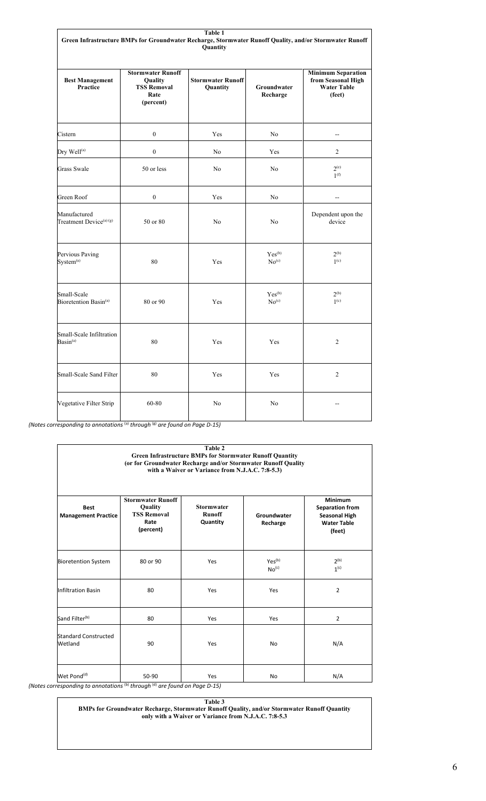| Table 1<br>Green Infrastructure BMPs for Groundwater Recharge, Stormwater Runoff Quality, and/or Stormwater Runoff<br>Quantity |                                                                                |                                      |                                      |                                                                                 |
|--------------------------------------------------------------------------------------------------------------------------------|--------------------------------------------------------------------------------|--------------------------------------|--------------------------------------|---------------------------------------------------------------------------------|
| <b>Best Management</b><br><b>Practice</b>                                                                                      | <b>Stormwater Runoff</b><br>Quality<br><b>TSS Removal</b><br>Rate<br>(percent) | <b>Stormwater Runoff</b><br>Quantity | Groundwater<br>Recharge              | <b>Minimum Separation</b><br>from Seasonal High<br><b>Water Table</b><br>(feet) |
| Cistern                                                                                                                        | $\mathbf{0}$                                                                   | Yes                                  | N <sub>o</sub>                       |                                                                                 |
| Dry Well <sup>(a)</sup>                                                                                                        | $\boldsymbol{0}$                                                               | No                                   | Yes                                  | $\overline{c}$                                                                  |
| Grass Swale                                                                                                                    | 50 or less                                                                     | N <sub>o</sub>                       | N <sub>o</sub>                       | $2^{(e)}$<br>1 <sup>(f)</sup>                                                   |
| Green Roof                                                                                                                     | $\boldsymbol{0}$                                                               | Yes                                  | No                                   | $\overline{\phantom{a}}$                                                        |
| Manufactured<br>Treatment Device <sup>(a) (g)</sup>                                                                            | 50 or 80                                                                       | No                                   | No                                   | Dependent upon the<br>device                                                    |
| Pervious Paving<br>System <sup>(a)</sup>                                                                                       | 80                                                                             | Yes                                  | Yes <sup>(b)</sup><br>$\rm No^{(c)}$ | $2^{(b)}$<br>1 <sup>(c)</sup>                                                   |
| Small-Scale<br>Bioretention Basin <sup>(a)</sup>                                                                               | 80 or 90                                                                       | Yes                                  | Yes <sup>(b)</sup><br>$\rm No^{(c)}$ | $2^{(b)}$<br>1 <sup>(c)</sup>                                                   |
| Small-Scale Infiltration<br>$Basin^{(a)}$                                                                                      | 80                                                                             | Yes                                  | Yes                                  | $\overline{2}$                                                                  |
| Small-Scale Sand Filter                                                                                                        | 80                                                                             | Yes                                  | Yes                                  | 2                                                                               |
| Vegetative Filter Strip                                                                                                        | 60-80                                                                          | No                                   | N <sub>o</sub>                       |                                                                                 |

*(Notes corresponding to annotations* (a) *through* (g) *are found on Page D-15)*

| Table 2<br><b>Green Infrastructure BMPs for Stormwater Runoff Quantity</b><br>(or for Groundwater Recharge and/or Stormwater Runoff Quality<br>with a Waiver or Variance from N.J.A.C. 7:8-5.3) |                                                                                       |                                                |                                         |                                                                                           |
|-------------------------------------------------------------------------------------------------------------------------------------------------------------------------------------------------|---------------------------------------------------------------------------------------|------------------------------------------------|-----------------------------------------|-------------------------------------------------------------------------------------------|
| <b>Best</b><br><b>Management Practice</b>                                                                                                                                                       | <b>Stormwater Runoff</b><br><b>Quality</b><br><b>TSS Removal</b><br>Rate<br>(percent) | <b>Stormwater</b><br><b>Runoff</b><br>Quantity | Groundwater<br>Recharge                 | Minimum<br><b>Separation from</b><br><b>Seasonal High</b><br><b>Water Table</b><br>(feet) |
| <b>Bioretention System</b>                                                                                                                                                                      | 80 or 90                                                                              | Yes                                            | Yes <sup>(b)</sup><br>No <sup>(c)</sup> | 2 <sup>(b)</sup><br>1 <sup>(c)</sup>                                                      |
| <b>Infiltration Basin</b>                                                                                                                                                                       | 80                                                                                    | Yes                                            | Yes                                     | $\overline{2}$                                                                            |
| Sand Filter <sup>(b)</sup>                                                                                                                                                                      | 80                                                                                    | Yes                                            | Yes                                     | $\overline{2}$                                                                            |
| Standard Constructed<br>Wetland                                                                                                                                                                 | 90                                                                                    | Yes                                            | <b>No</b>                               | N/A                                                                                       |
| Wet Pond <sup>(d)</sup>                                                                                                                                                                         | 50-90                                                                                 | Yes                                            | N <sub>o</sub>                          | N/A                                                                                       |

*(Notes corresponding to annotations* (b) *through* (d) *are found on Page D-15)*

**Table 3**

**BMPs for Groundwater Recharge, Stormwater Runoff Quality, and/or Stormwater Runoff Quantity only with a Waiver or Variance from N.J.A.C. 7:8-5.3**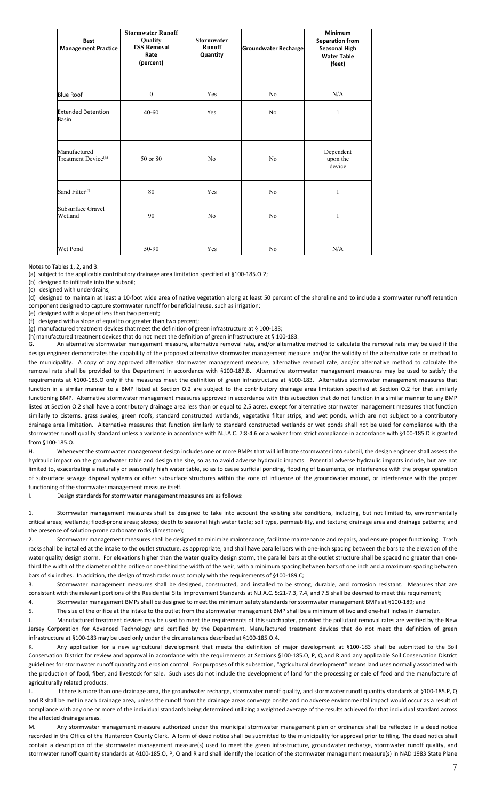| <b>Best</b><br><b>Management Practice</b>       | <b>Stormwater Runoff</b><br>Quality<br><b>TSS Removal</b><br>Rate<br>(percent) | <b>Stormwater</b><br><b>Runoff</b><br>Quantity | <b>Groundwater Recharge</b> | <b>Minimum</b><br><b>Separation from</b><br><b>Seasonal High</b><br><b>Water Table</b><br>(feet) |  |
|-------------------------------------------------|--------------------------------------------------------------------------------|------------------------------------------------|-----------------------------|--------------------------------------------------------------------------------------------------|--|
| <b>Blue Roof</b>                                | $\boldsymbol{0}$                                                               | Yes                                            | N <sub>o</sub>              | N/A                                                                                              |  |
| <b>Extended Detention</b><br><b>Basin</b>       | 40-60                                                                          | Yes                                            | <b>No</b>                   | 1                                                                                                |  |
| Manufactured<br>Treatment Device <sup>(h)</sup> | 50 or 80                                                                       | N <sub>o</sub>                                 | N <sub>o</sub>              | Dependent<br>upon the<br>device                                                                  |  |
| Sand Filter <sup>(c)</sup>                      | 80                                                                             | Yes                                            | N <sub>o</sub>              | 1                                                                                                |  |
| Subsurface Gravel<br>Wetland                    | 90                                                                             | N <sub>o</sub>                                 | N <sub>o</sub>              | $\mathbf{1}$                                                                                     |  |
| Wet Pond                                        | 50-90                                                                          | Yes                                            | N <sub>o</sub>              | N/A                                                                                              |  |

Notes to Tables 1, 2, and 3:

(a) subject to the applicable contributory drainage area limitation specified at §100-185.O.2;

(b) designed to infiltrate into the subsoil;

(c) designed with underdrains;

(d) designed to maintain at least a 10-foot wide area of native vegetation along at least 50 percent of the shoreline and to include a stormwater runoff retention component designed to capture stormwater runoff for beneficial reuse, such as irrigation;

(e) designed with a slope of less than two percent;

(f) designed with a slope of equal to or greater than two percent;

(g) manufactured treatment devices that meet the definition of green infrastructure at § 100-183;

(h)manufactured treatment devices that do not meet the definition of green infrastructure at § 100-183.

G. An alternative stormwater management measure, alternative removal rate, and/or alternative method to calculate the removal rate may be used if the design engineer demonstrates the capability of the proposed alternative stormwater management measure and/or the validity of the alternative rate or method to the municipality. A copy of any approved alternative stormwater management measure, alternative removal rate, and/or alternative method to calculate the removal rate shall be provided to the Department in accordance with §100-187.B. Alternative stormwater management measures may be used to satisfy the requirements at §100-185.O only if the measures meet the definition of green infrastructure at §100-183. Alternative stormwater management measures that function in a similar manner to a BMP listed at Section O.2 are subject to the contributory drainage area limitation specified at Section O.2 for that similarly functioning BMP. Alternative stormwater management measures approved in accordance with this subsection that do not function in a similar manner to any BMP listed at Section 0.2 shall have a contributory drainage area less than or equal to 2.5 acres, except for alternative stormwater management measures that function similarly to cisterns, grass swales, green roofs, standard constructed wetlands, vegetative filter strips, and wet ponds, which are not subject to a contributory drainage area limitation. Alternative measures that function similarly to standard constructed wetlands or wet ponds shall not be used for compliance with the stormwater runoff quality standard unless a variance in accordance with N.J.A.C. 7:8-4.6 or a waiver from strict compliance in accordance with §100-185.D is granted from §100-185.O.

H. Whenever the stormwater management design includes one or more BMPs that will infiltrate stormwater into subsoil, the design engineer shall assess the hydraulic impact on the groundwater table and design the site, so as to avoid adverse hydraulic impacts en averse hydraulic impacts include, but are not limited to, exacerbating a naturally or seasonally high water table, so as to cause surficial ponding, flooding of basements, or interference with the proper operation of subsurface sewage disposal systems or other subsurface structures within the zone of influence of the groundwater mound, or interference with the proper functioning of the stormwater management measure itself.

I. Design standards for stormwater management measures are as follows:

1. Stormwater management measures shall be designed to take into account the existing site conditions, including, but not limited to, environmentally critical areas; wetlands; flood-prone areas; slopes; depth to seasonal high water table; soil type, permeability, and texture; drainage area and drainage patterns; and the presence of solution-prone carbonate rocks (limestone);

2. Stormwater management measures shall be designed to minimize maintenance, facilitate maintenance and repairs, and ensure proper functioning. Trash racks shall be installed at the intake to the outlet structure, as appropriate, and shall have parallel bars with one-inch spacing between the bars to the elevation of the water quality design storm. For elevations higher than the water quality design storm, the parallel bars at the outlet structure shall be spaced no greater than onethird the width of the diameter of the orifice or one-third the width of the weir, with a minimum spacing between bars of one inch and a maximum spacing between bars of six inches. In addition, the design of trash racks must comply with the requirements of §100-189.C;

3. Stormwater management measures shall be designed, constructed, and installed to be strong, durable, and corrosion resistant. Measures that are consistent with the relevant portions of the Residential Site Improvement Standards at N.J.A.C. 5:21-7.3, 7.4, and 7.5 shall be deemed to meet this requirement;

4. Stormwater management BMPs shall be designed to meet the minimum safety standards for stormwater management BMPs at §100-189; and

5. The size of the orifice at the intake to the outlet from the stormwater management BMP shall be a minimum of two and one-half inches in diameter.

J. Manufactured treatment devices may be used to meet the requirements of this subchapter, provided the pollutant removal rates are verified by the New Jersey Corporation for Advanced Technology and certified by the Department. Manufactured treatment devices that do not meet the definition of green infrastructure at §100-183 may be used only under the circumstances described at §100-185.O.4.

K. Any application for a new agricultural development that meets the definition of major development at §100-183 shall be submitted to the Soil Conservation District for review and approval in accordance with the requirements at Sections §100-185.O, P, Q and R and any applicable Soil Conservation District guidelines for stormwater runoff quantity and erosion control. For purposes of this subsection, "agricultural development" means land uses normally associated with the production of food, fiber, and livestock for sale. Such uses do not include the development of land for the processing or sale of food and the manufacture of agriculturally related products.

L. If there is more than one drainage area, the groundwater recharge, stormwater runoff quality, and stormwater runoff quantity standards at §100-185.P, Q and R shall be met in each drainage area, unless the runoff from the drainage areas converge onsite and no adverse environmental impact would occur as a result of compliance with any one or more of the individual standards being determined utilizing a weighted average of the results achieved for that individual standard across the affected drainage areas.

M. Any stormwater management measure authorized under the municipal stormwater management plan or ordinance shall be reflected in a deed notice recorded in the Office of the Hunterdon County Clerk. A form of deed notice shall be submitted to the municipality for approval prior to filing. The deed notice shall contain a description of the stormwater management measure(s) used to meet the green infrastructure, groundwater recharge, stormwater runoff quality, and stormwater runoff quantity standards at §100-185.O, P, Q and R and shall identify the location of the stormwater management measure(s) in NAD 1983 State Plane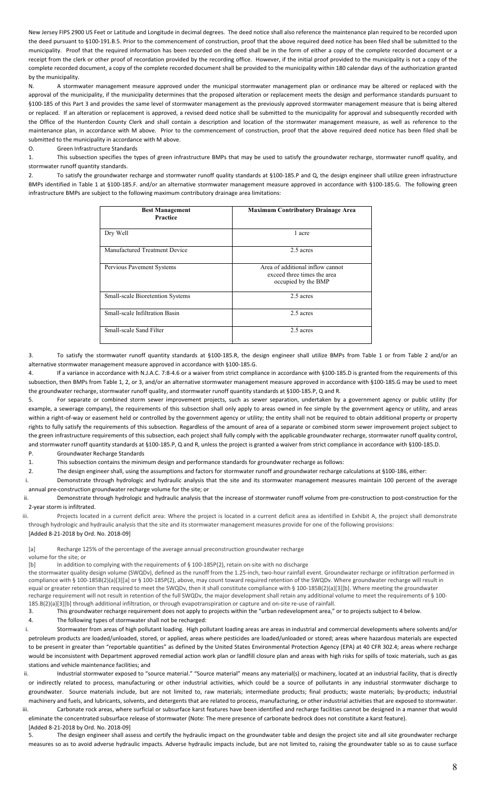New Jersey FIPS 2900 US Feet or Latitude and Longitude in decimal degrees. The deed notice shall also reference the maintenance plan required to be recorded upon the deed pursuant to §100-191.B.5. Prior to the commencement of construction, proof that the above required deed notice has been filed shall be submitted to the municipality. Proof that the required information has been recorded on the deed shall be in the form of either a copy of the complete recorded document or a receipt from the clerk or other proof of recordation provided by the recording office. However, if the initial proof provided to the municipality is not a copy of the complete recorded document, a copy of the complete recorded document shall be provided to the municipality within 180 calendar days of the authorization granted by the municipality.

N. A stormwater management measure approved under the municipal stormwater management plan or ordinance may be altered or replaced with the approval of the municipality, if the municipality determines that the proposed alteration or replacement meets the design and performance standards pursuant to §100-185 of this Part 3 and provides the same level of stormwater management as the previously approved stormwater management measure that is being altered or replaced. If an alteration or replacement is approved, a revised deed notice shall be submitted to the municipality for approval and subsequently recorded with the Office of the Hunterdon County Clerk and shall contain a description and location of the stormwater management measure, as well as reference to the maintenance plan, in accordance with M above. Prior to the commencement of construction, proof that the above required deed notice has been filed shall be submitted to the municipality in accordance with M above.

#### O. Green Infrastructure Standards

1. This subsection specifies the types of green infrastructure BMPs that may be used to satisfy the groundwater recharge, stormwater runoff quality, and stormwater runoff quantity standards.

2. To satisfy the groundwater recharge and stormwater runoff quality standards at §100-185.P and Q, the design engineer shall utilize green infrastructure BMPs identified in Table 1 at §100-185.F. and/or an alternative stormwater management measure approved in accordance with §100-185.G. The following green infrastructure BMPs are subject to the following maximum contributory drainage area limitations:

| <b>Best Management</b><br>Practice | <b>Maximum Contributory Drainage Area</b>                                              |
|------------------------------------|----------------------------------------------------------------------------------------|
| Dry Well                           | 1 acre                                                                                 |
| Manufactured Treatment Device      | 2.5 acres                                                                              |
| Pervious Pavement Systems          | Area of additional inflow cannot<br>exceed three times the area<br>occupied by the BMP |
| Small-scale Bioretention Systems   | 2.5 acres                                                                              |
| Small-scale Infiltration Basin     | 2.5 acres                                                                              |
| Small-scale Sand Filter            | 2.5 acres                                                                              |

3. To satisfy the stormwater runoff quantity standards at §100-185.R, the design engineer shall utilize BMPs from Table 1 or from Table 2 and/or an alternative stormwater management measure approved in accordance with §100-185.G.

If a variance in accordance with N.J.A.C. 7:8-4.6 or a waiver from strict compliance in accordance with §100-185.D is granted from the requirements of this subsection, then BMPs from Table 1, 2, or 3, and/or an alternative stormwater management measure approved in accordance with §100-185.G may be used to meet the groundwater recharge, stormwater runoff quality, and stormwater runoff quantity standards at §100-185.P, Q and R.

For separate or combined storm sewer improvement projects, such as sewer separation, undertaken by a government agency or public utility (for example, a sewerage company), the requirements of this subsection shall only apply to areas owned in fee simple by the government agency or utility, and areas within a right-of-way or easement held or controlled by the government agency or utility; the entity shall not be required to obtain additional property or property rights to fully satisfy the requirements of this subsection. Regardless of the amount of area of a separate or combined storm sewer improvement project subject to the green infrastructure requirements of this subsection, each project shall fully comply with the applicable groundwater recharge, stormwater runoff quality control, and stormwater runoff quantity standards at §100-185.P, Q and R, unless the project is granted a waiver from strict compliance in accordance with §100-185.D. P. Groundwater Recharge Standards

1. This subsection contains the minimum design and performance standards for groundwater recharge as follows:

2. The design engineer shall, using the assumptions and factors for stormwater runoff and groundwater recharge calculations at §100-186, either:

i. Demonstrate through hydrologic and hydraulic analysis that the site and its stormwater management measures maintain 100 percent of the average annual pre-construction groundwater recharge volume for the site; or

ii. Demonstrate through hydrologic and hydraulic analysis that the increase of stormwater runoff volume from pre-construction to post-construction for the 2-year storm is infiltrated.

iii. Projects located in a current deficit area: Where the project is located in a current deficit area as identified in Exhibit A, the project shall demonstrate through hydrologic and hydraulic analysis that the site and its stormwater management measures provide for one of the following provisions:

[Added 8-21-2018 by Ord. No. 2018-09]

[a] Recharge 125% of the percentage of the average annual preconstruction groundwater recharge

### volume for the site; or

[b] In addition to complying with the requirements of § 100-185P(2), retain on-site with no discharge

the stormwater quality design volume (SWQDv), defined as the runoff from the 1.25-inch, two-hour rainfall event. Groundwater recharge or infiltration performed in compliance with § 100-185B(2)(a)[3][a] or § 100-185P(2), above, may count toward required retention of the SWQDv. Where groundwater recharge will result in equal or greater retention than required to meet the SWQDv, then it shall constitute compliance with § 100-185B(2)(a)[3][b]. Where meeting the groundwater recharge requirement will not result in retention of the full SWQDv, the major development shall retain any additional volume to meet the requirements of § 100- 185.B(2)(a)[3][b] through additional infiltration, or through evapotranspiration or capture and on-site re-use of rainfall.

3. This groundwater recharge requirement does not apply to projects within the "urban redevelopment area," or to projects subject to 4 below.

4. The following types of stormwater shall not be recharged:

i. Stormwater from areas of high pollutant loading. High pollutant loading areas are areas in industrial and commercial developments where solvents and/or petroleum products are loaded/unloaded, stored, or applied, areas where pesticides are loaded/unloaded or stored; areas where hazardous materials are expected to be present in greater than "reportable quantities" as defined by the United States Environmental Protection Agency (EPA) at 40 CFR 302.4; areas where recharge would be inconsistent with Department approved remedial action work plan or landfill closure plan and areas with high risks for spills of toxic materials, such as gas stations and vehicle maintenance facilities; and

ii. Industrial stormwater exposed to "source material." "Source material" means any material(s) or machinery, located at an industrial facility, that is directly or indirectly related to process, manufacturing or other industrial activities, which could be a source of pollutants in any industrial stormwater discharge to groundwater. Source materials include, but are not limited to, raw materials; intermediate products; final products; waste materials; by-products; industrial machinery and fuels, and lubricants, solvents, and detergents that are related to process, manufacturing, or other industrial activities that are exposed to stormwater.

iii. Carbonate rock areas, where surficial or subsurface karst features have been identified and recharge facilities cannot be designed in a manner that would eliminate the concentrated subsurface release of stormwater (Note: The mere presence of carbonate bedrock does not constitute a karst feature). [Added 8-21-2018 by Ord. No. 2018-09]

5. The design engineer shall assess and certify the hydraulic impact on the groundwater table and design the project site and all site groundwater recharge measures so as to avoid adverse hydraulic impacts. Adverse hydraulic impacts include, but are not limited to, raising the groundwater table so as to cause surface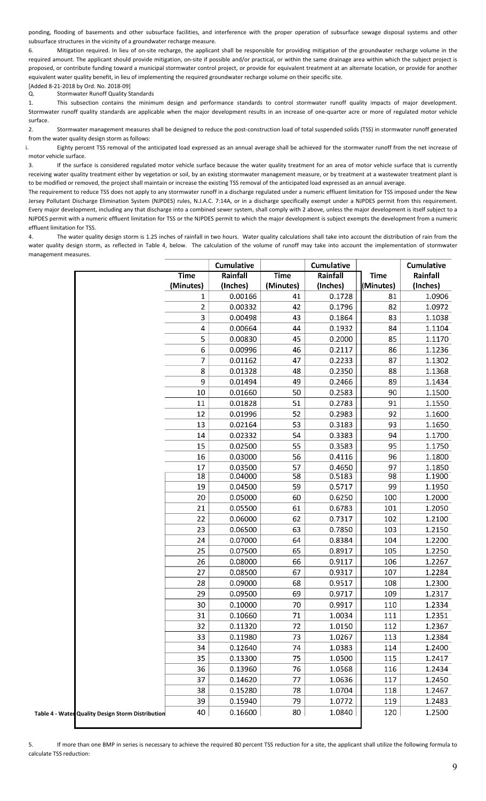ponding, flooding of basements and other subsurface facilities, and interference with the proper operation of subsurface sewage disposal systems and other subsurface structures in the vicinity of a groundwater recharge measure.

6. Mitigation required. In lieu of on-site recharge, the applicant shall be responsible for providing mitigation of the groundwater recharge volume in the required amount. The applicant should provide mitigation, on-site if possible and/or practical, or within the same drainage area within which the subject project is proposed, or contribute funding toward a municipal stormwater control project, or provide for equivalent treatment at an alternate location, or provide for another equivalent water quality benefit, in lieu of implementing the required groundwater recharge volume on their specific site.

[Added 8-21-2018 by Ord. No. 2018-09] Q. Stormwater Runoff Quality Standards

1. This subsection contains the minimum design and performance standards to control stormwater runoff quality impacts of major development. Stormwater runoff quality standards are applicable when the major development results in an increase of one-quarter acre or more of regulated motor vehicle surface.

2. Stormwater management measures shall be designed to reduce the post-construction load of total suspended solids (TSS) in stormwater runoff generated from the water quality design storm as follows:

i. Eighty percent TSS removal of the anticipated load expressed as an annual average shall be achieved for the stormwater runoff from the net increase of motor vehicle surface.

3. If the surface is considered regulated motor vehicle surface because the water quality treatment for an area of motor vehicle surface that is currently receiving water quality treatment either by vegetation or soil, by an existing stormwater management measure, or by treatment at a wastewater treatment plant is to be modified or removed, the project shall maintain or increase the existing TSS removal of the anticipated load expressed as an annual average.

The requirement to reduce TSS does not apply to any stormwater runoff in a discharge regulated under a numeric effluent limitation for TSS imposed under the New Jersey Pollutant Discharge Elimination System (NJPDES) rules, N.J.A.C. 7:14A, or in a discharge specifically exempt under a NJPDES permit from this requirement. Every major development, including any that discharge into a combined sewer system, shall comply with 2 above, unless the major development is itself subject to a NJPDES permit with a numeric effluent limitation for TSS or the NJPDES permit to which the major development is subject exempts the development from a numeric effluent limitation for TSS.

4. The water quality design storm is 1.25 inches of rainfall in two hours. Water quality calculations shall take into account the distribution of rain from the water quality design storm, as reflected in Table 4, below. The calculation of the volume of runoff may take into account the implementation of stormwater management measures.

|                                                   |                | <b>Cumulative</b> |             | Cumulative |             | Cumulative |
|---------------------------------------------------|----------------|-------------------|-------------|------------|-------------|------------|
|                                                   | <b>Time</b>    | Rainfall          | <b>Time</b> | Rainfall   | <b>Time</b> | Rainfall   |
|                                                   | (Minutes)      | (Inches)          | (Minutes)   | (Inches)   | (Minutes)   | (Inches)   |
|                                                   | 1              | 0.00166           | 41          | 0.1728     | 81          | 1.0906     |
|                                                   | $\overline{2}$ | 0.00332           | 42          | 0.1796     | 82          | 1.0972     |
|                                                   | 3              | 0.00498           | 43          | 0.1864     | 83          | 1.1038     |
|                                                   | 4              | 0.00664           | 44          | 0.1932     | 84          | 1.1104     |
|                                                   | 5              | 0.00830           | 45          | 0.2000     | 85          | 1.1170     |
|                                                   | 6              | 0.00996           | 46          | 0.2117     | 86          | 1.1236     |
|                                                   | 7              | 0.01162           | 47          | 0.2233     | 87          | 1.1302     |
|                                                   | 8              | 0.01328           | 48          | 0.2350     | 88          | 1.1368     |
|                                                   | 9              | 0.01494           | 49          | 0.2466     | 89          | 1.1434     |
|                                                   | 10             | 0.01660           | 50          | 0.2583     | 90          | 1.1500     |
|                                                   | 11             | 0.01828           | 51          | 0.2783     | 91          | 1.1550     |
|                                                   | 12             | 0.01996           | 52          | 0.2983     | 92          | 1.1600     |
|                                                   | 13             | 0.02164           | 53          | 0.3183     | 93          | 1.1650     |
|                                                   | 14             | 0.02332           | 54          | 0.3383     | 94          | 1.1700     |
|                                                   | 15             | 0.02500           | 55          | 0.3583     | 95          | 1.1750     |
|                                                   | 16             | 0.03000           | 56          | 0.4116     | 96          | 1.1800     |
|                                                   | 17             | 0.03500           | 57          | 0.4650     | 97          | 1.1850     |
|                                                   | 18             | 0.04000           | 58          | 0.5183     | 98          | 1.1900     |
|                                                   | 19             | 0.04500           | 59          | 0.5717     | 99          | 1.1950     |
|                                                   | 20             | 0.05000           | 60          | 0.6250     | 100         | 1.2000     |
|                                                   | 21             | 0.05500           | 61          | 0.6783     | 101         | 1.2050     |
|                                                   | 22             | 0.06000           | 62          | 0.7317     | 102         | 1.2100     |
|                                                   | 23             | 0.06500           | 63          | 0.7850     | 103         | 1.2150     |
|                                                   | 24             | 0.07000           | 64          | 0.8384     | 104         | 1.2200     |
|                                                   | 25             | 0.07500           | 65          | 0.8917     | 105         | 1.2250     |
|                                                   | 26             | 0.08000           | 66          | 0.9117     | 106         | 1.2267     |
|                                                   | 27             | 0.08500           | 67          | 0.9317     | 107         | 1.2284     |
|                                                   | 28             | 0.09000           | 68          | 0.9517     | 108         | 1.2300     |
|                                                   | 29             | 0.09500           | 69          | 0.9717     | 109         | 1.2317     |
|                                                   | 30             | 0.10000           | 70          | 0.9917     | 110         | 1.2334     |
|                                                   | 31             | 0.10660           | ${\bf 71}$  | 1.0034     | 111         | 1.2351     |
|                                                   | 32             | 0.11320           | 72          | 1.0150     | 112         | 1.2367     |
|                                                   | 33             | 0.11980           | 73          | 1.0267     | 113         | 1.2384     |
|                                                   | 34             | 0.12640           | 74          | 1.0383     | 114         | 1.2400     |
|                                                   | 35             | 0.13300           | 75          | 1.0500     | 115         | 1.2417     |
|                                                   | 36             | 0.13960           | 76          | 1.0568     | 116         | 1.2434     |
|                                                   | 37             | 0.14620           | 77          | 1.0636     | 117         | 1.2450     |
|                                                   | 38             | 0.15280           | 78          | 1.0704     | 118         | 1.2467     |
|                                                   | 39             | 0.15940           | 79          | 1.0772     | 119         | 1.2483     |
| Table 4 - Water Quality Design Storm Distribution | 40             | 0.16600           | 80          | 1.0840     | 120         | 1.2500     |

If more than one BMP in series is necessary to achieve the required 80 percent TSS reduction for a site, the applicant shall utilize the following formula to calculate TSS reduction: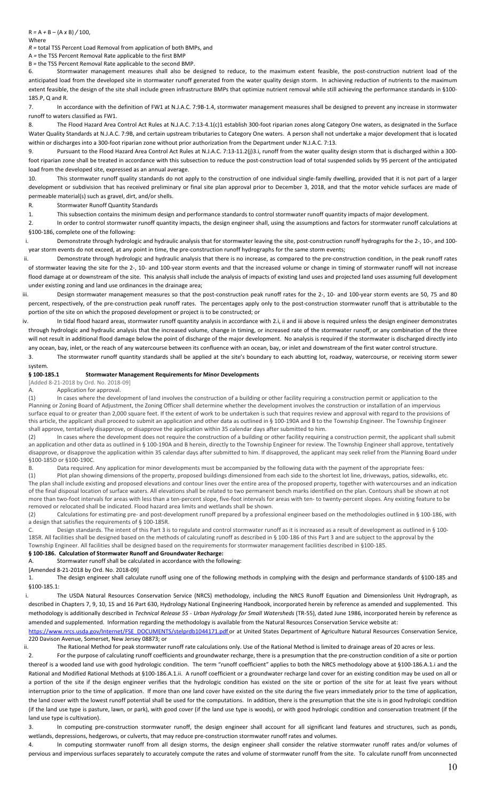Where

*R =* total TSS Percent Load Removal from application of both BMPs, and

A *=* the TSS Percent Removal Rate applicable to the first BMP

B *=* the TSS Percent Removal Rate applicable to the second BMP.

6. Stormwater management measures shall also be designed to reduce, to the maximum extent feasible, the post-construction nutrient load of the anticipated load from the developed site in stormwater runoff generated from the water quality design storm. In achieving reduction of nutrients to the maximum extent feasible, the design of the site shall include green infrastructure BMPs that optimize nutrient removal while still achieving the performance standards in §100- 185.P, Q and R.

7. In accordance with the definition of FW1 at N.J.A.C. 7:9B-1.4, stormwater management measures shall be designed to prevent any increase in stormwater runoff to waters classified as FW1.

8. The Flood Hazard Area Control Act Rules at N.J.A.C. 7:13-4.1(c)1 establish 300-foot riparian zones along Category One waters, as designated in the Surface Water Quality Standards at N.J.A.C. 7:9B, and certain upstream tributaries to Category One waters. A person shall not undertake a major development that is located within or discharges into a 300-foot riparian zone without prior authorization from the Department under N.J.A.C. 7:13.

9. Pursuant to the Flood Hazard Area Control Act Rules at N.J.A.C. 7:13-11.2(j)3.i, runoff from the water quality design storm that is discharged within a 300 foot riparian zone shall be treated in accordance with this subsection to reduce the post-construction load of total suspended solids by 95 percent of the anticipated load from the developed site, expressed as an annual average.

10. This stormwater runoff quality standards do not apply to the construction of one individual single-family dwelling, provided that it is not part of a larger development or subdivision that has received preliminary or final site plan approval prior to December 3, 2018, and that the motor vehicle surfaces are made of permeable material(s) such as gravel, dirt, and/or shells.

R. Stormwater Runoff Quantity Standards

1. This subsection contains the minimum design and performance standards to control stormwater runoff quantity impacts of major development.

2. In order to control stormwater runoff quantity impacts, the design engineer shall, using the assumptions and factors for stormwater runoff calculations at §100-186, complete one of the following:

i. Demonstrate through hydrologic and hydraulic analysis that for stormwater leaving the site, post-construction runoff hydrographs for the 2-, 10-, and 100 year storm events do not exceed, at any point in time, the pre-construction runoff hydrographs for the same storm events;

ii. Demonstrate through hydrologic and hydraulic analysis that there is no increase, as compared to the pre-construction condition, in the peak runoff rates of stormwater leaving the site for the 2-, 10- and 100-year storm events and that the increased volume or change in timing of stormwater runoff will not increase flood damage at or downstream of the site. This analysis shall include the analysis of impacts of existing land uses and projected land uses assuming full development under existing zoning and land use ordinances in the drainage area;

iii. Design stormwater management measures so that the post-construction peak runoff rates for the 2-, 10- and 100-year storm events are 50, 75 and 80 percent, respectively, of the pre-construction peak runoff rates. The percentages apply only to the post-construction stormwater runoff that is attributable to the portion of the site on which the proposed development or project is to be constructed; or

iv. In tidal flood hazard areas, stormwater runoff quantity analysis in accordance with 2.i, ii and iii above is required unless the design engineer demonstrates through hydrologic and hydraulic analysis that the increased volume, change in timing, or increased rate of the stormwater runoff, or any combination of the three will not result in additional flood damage below the point of discharge of the major development. No analysis is required if the stormwater is discharged directly into any ocean, bay, inlet, or the reach of any watercourse between its confluence with an ocean, bay, or inlet and downstream of the first water control structure.

3. The stormwater runoff quantity standards shall be applied at the site's boundary to each abutting lot, roadway, watercourse, or receiving storm sewer system.

#### **§ 100-185.1 Stormwater Management Requirements for Minor Developments**

[Added 8-21-2018 by Ord. No. 2018-09]

Application for approval.

(1) In cases where the development of land involves the construction of a building or other facility requiring a construction permit or application to the Planning or Zoning Board of Adjustment, the Zoning Officer shall determine whether the development involves the construction or installation of an impervious surface equal to or greater than 2,000 square feet. If the extent of work to be undertaken is such that requires review and approval with regard to the provisions of this article, the applicant shall proceed to submit an application and other data as outlined in § 100-190A and B to the Township Engineer. The Township Engineer shall approve, tentatively disapprove, or disapprove the application within 35 calendar days after submitted to him.

(2) In cases where the development does not require the construction of a building or other facility requiring a construction permit, the applicant shall submit an application and other data as outlined in § 100-190A and B herein, directly to the Township Engineer Shall approve, tentatively and Diprove, tentatively disapprove, or disapprove the application within 35 calendar days after submitted to him. If disapproved, the applicant may seek relief from the Planning Board under §100-185D or §100-190C.

B. Data required. Any application for minor developments must be accompanied by the following data with the payment of the appropriate fees:

(1) Plot plan showing dimensions of the property, proposed buildings dimensioned from each side to the shortest lot line, driveways, patios, sidewalks, etc. The plan shall include existing and proposed elevations and contour lines over the entire area of the proposed property, together with watercourses and an indication of the final disposal location of surface waters. All elevations shall be related to two permanent bench marks identified on the plan. Contours shall be shown at not more than two-foot intervals for areas with less than a ten-percent slope, five-foot intervals for areas with ten- to twenty-percent slopes. Any existing feature to be removed or relocated shall be indicated. Flood hazard area limits and wetlands shall be shown.

(2) Calculations for estimating pre- and post-development runoff prepared by a professional engineer based on the methodologies outlined in § 100-186, with a design that satisfies the requirements of § 100-185R.

C. Design standards. The intent of this Part 3 is to regulate and control stormwater runoff as it is increased as a result of development as outlined in § 100- 185R. All facilities shall be designed based on the methods of calculating runoff as described in § 100-186 of this Part 3 and are subject to the approval by the Township Engineer. All facilities shall be designed based on the requirements for stormwater management facilities described in §100-185. **§ 100-186. Calculation of Stormwater Runoff and Groundwater Recharge:**

A. Stormwater runoff shall be calculated in accordance with the following:

[Amended 8-21-2018 by Ord. No. 2018-09]

1. The design engineer shall calculate runoff using one of the following methods in complying with the design and performance standards of §100-185 and §100-185.1:

i. The USDA Natural Resources Conservation Service (NRCS) methodology, including the NRCS Runoff Equation and Dimensionless Unit Hydrograph, as described in Chapters 7, 9, 10, 15 and 16 Part 630, Hydrology National Engineering Handbook, incorporated herein by reference as amended and supplemented. This methodology is additionally described in *Technical Release 55* - *Urban Hydrology for Small Watersheds* (TR-55), dated June 1986, incorporated herein by reference as amended and supplemented. Information regarding the methodology is available from the Natural Resources Conservation Service website at:

[https://www.nrcs.usda.gov/Internet/FSE\\_DOCUMENTS/stelprdb1044171.pdf](https://www.nrcs.usda.gov/Internet/FSE_DOCUMENTS/stelprdb1044171.pdf) or at United States Department of Agriculture Natural Resources Conservation Service, 220 Davison Avenue, Somerset, New Jersey 08873; or

ii. The Rational Method for peak stormwater runoff rate calculations only. Use of the Rational Method is limited to drainage areas of 20 acres or less.

2. For the purpose of calculating runoff coefficients and groundwater recharge, there is a presumption that the pre-construction condition of a site or portion thereof is a wooded land use with good hydrologic condition. The term "runoff coefficient" applies to both the NRCS methodology above at §100-186.A.1.i and the Rational and Modified Rational Methods at §100-186.A.1.ii. A runoff coefficient or a groundwater recharge land cover for an existing condition may be used on all or a portion of the site if the design engineer verifies that the hydrologic condition has existed on the site or portion of the site for at least five years without interruption prior to the time of application. If more than one land cover have existed on the site during the five years immediately prior to the time of application, the land cover with the lowest runoff potential shall be used for the computations. In addition, there is the presumption that the site is in good hydrologic condition (if the land use type is pasture, lawn, or park), with good cover (if the land use type is woods), or with good hydrologic condition and conservation treatment (if the land use type is cultivation).

3. In computing pre-construction stormwater runoff, the design engineer shall account for all significant land features and structures, such as ponds, wetlands, depressions, hedgerows, or culverts, that may reduce pre-construction stormwater runoff rates and volumes.

4. In computing stormwater runoff from all design storms, the design engineer shall consider the relative stormwater runoff rates and/or volumes of pervious and impervious surfaces separately to accurately compute the rates and volume of stormwater runoff from the site. To calculate runoff from unconnected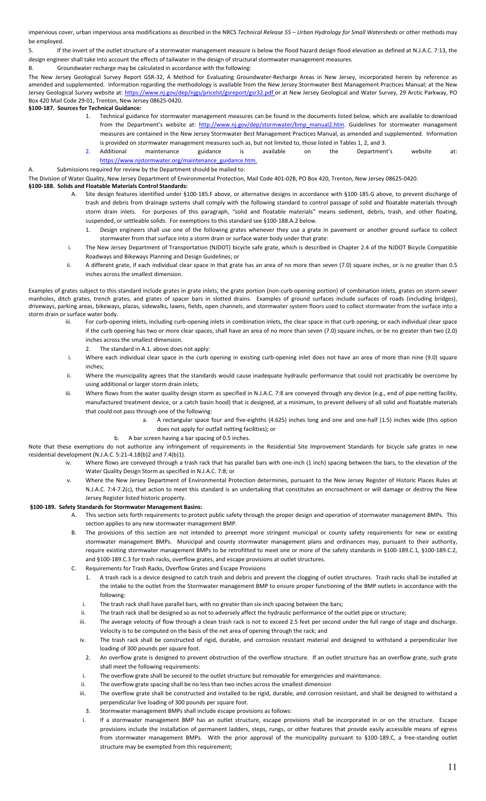impervious cover, urban impervious area modifications as described in the NRCS *Technical Release 55 – Urban Hydrology for Small Watersheds* or other methods may be employed.

5. If the invert of the outlet structure of a stormwater management measure is below the flood hazard design flood elevation as defined at N.J.A.C. 7:13, the design engineer shall take into account the effects of tailwater in the design of structural stormwater management measures.

B. Groundwater recharge may be calculated in accordance with the following:

The New Jersey Geological Survey Report GSR-32, A Method for Evaluating Groundwater-Recharge Areas in New Jersey, incorporated herein by reference as amended and supplemented. Information regarding the methodology is available from the New Jersey Stormwater Best Management Practices Manual; at the New Jersey Geological Survey website at[: https://www.nj.gov/dep/njgs/pricelst/gsreport/gsr32.pdf](https://www.nj.gov/dep/njgs/pricelst/gsreport/gsr32.pdf) or at New Jersey Geological and Water Survey, 29 Arctic Parkway, PO Box 420 Mail Code 29-01, Trenton, New Jersey 08625-0420.

### **§100-187. Sources for Technical Guidance:**

- 1. Technical guidance for stormwater management measures can be found in the documents listed below, which are available to download from the Department's website at: [http://www.nj.gov/dep/stormwater/bmp\\_manual2.htm.](http://www.nj.gov/dep/stormwater/bmp_manual2.htm) Guidelines for stormwater management measures are contained in the New Jersey Stormwater Best Management Practices Manual, as amended and supplemented. Information is provided on stormwater management measures such as, but not limited to, those listed in Tables 1, 2, and 3.
- 2. Additional maintenance guidance is available on the Department's website at: [https://www.njstormwater.org/maintenance\\_guidance.htm.](https://www.njstormwater.org/maintenance_guidance.htm)

Submissions required for review by the Department should be mailed to:

The Division of Water Quality, New Jersey Department of Environmental Protection, Mail Code 401-02B, PO Box 420, Trenton, New Jersey 08625-0420.

### **§100-188. Solids and Floatable Materials Control Standards:**

- A. Site design features identified under §100-185.F above, or alternative designs in accordance with §100-185.G above, to prevent discharge of trash and debris from drainage systems shall comply with the following standard to control passage of solid and floatable materials through storm drain inlets. For purposes of this paragraph, "solid and floatable materials" means sediment, debris, trash, and other floating, suspended, or settleable solids. For exemptions to this standard see §100-188.A.2 below.
	- 1. Design engineers shall use one of the following grates whenever they use a grate in pavement or another ground surface to collect stormwater from that surface into a storm drain or surface water body under that grate:
- i. The New Jersey Department of Transportation (NJDOT) bicycle safe grate, which is described in Chapter 2.4 of the NJDOT Bicycle Compatible Roadways and Bikeways Planning and Design Guidelines; or
- ii. A different grate, if each individual clear space in that grate has an area of no more than seven (7.0) square inches, or is no greater than 0.5 inches across the smallest dimension.

Examples of grates subject to this standard include grates in grate inlets, the grate portion (non-curb-opening portion) of combination inlets, grates on storm sewer manholes, ditch grates, trench grates, and grates of spacer bars in slotted drains. Examples of ground surfaces include surfaces of roads (including bridges), driveways, parking areas, bikeways, plazas, sidewalks, lawns, fields, open channels, and stormwater system floors used to collect stormwater from the surface into a storm drain or surface water body.

- iii. For curb-opening inlets, including curb-opening inlets in combination inlets, the clear space in that curb opening, or each individual clear space if the curb opening has two or more clear spaces, shall have an area of no more than seven (7.0) square inches, or be no greater than two (2.0) inches across the smallest dimension.
	- 2. The standard in A.1. above does not apply:
- i. Where each individual clear space in the curb opening in existing curb-opening inlet does not have an area of more than nine (9.0) square inches;
- ii. Where the municipality agrees that the standards would cause inadequate hydraulic performance that could not practicably be overcome by using additional or larger storm drain inlets;
- iii. Where flows from the water quality design storm as specified in N.J.A.C. 7:8 are conveyed through any device (e.g., end of pipe netting facility, manufactured treatment device, or a catch basin hood) that is designed, at a minimum, to prevent delivery of all solid and floatable materials that could not pass through one of the following:
	- a. A rectangular space four and five-eighths (4.625) inches long and one and one-half (1.5) inches wide (this option does not apply for outfall netting facilities); or
	- b. A bar screen having a bar spacing of 0.5 inches.

Note that these exemptions do not authorize any infringement of requirements in the Residential Site Improvement Standards for bicycle safe grates in new residential development (N.J.A.C. 5:21-4.18(b)2 and 7.4(b)1).

- iv. Where flows are conveyed through a trash rack that has parallel bars with one-inch (1 inch) spacing between the bars, to the elevation of the Water Quality Design Storm as specified in N.J.A.C. 7:8; or
- Where the New Jersey Department of Environmental Protection determines, pursuant to the New Jersey Register of Historic Places Rules at N.J.A.C. 7:4-7.2(c), that action to meet this standard is an undertaking that constitutes an encroachment or will damage or destroy the New Jersey Register listed historic property.

### **§100-189. Safety Standards for Stormwater Management Basins:**

- A. This section sets forth requirements to protect public safety through the proper design and operation of stormwater management BMPs. This section applies to any new stormwater management BMP.
- B. The provisions of this section are not intended to preempt more stringent municipal or county safety requirements for new or existing stormwater management BMPs. Municipal and county stormwater management plans and ordinances may, pursuant to their authority, require existing stormwater management BMPs to be retrofitted to meet one or more of the safety standards in §100-189.C.1, §100-189.C.2, and §100-189.C.3 for trash racks, overflow grates, and escape provisions at outlet structures.
- C. Requirements for Trash Racks, Overflow Grates and Escape Provisions
	- 1. A trash rack is a device designed to catch trash and debris and prevent the clogging of outlet structures. Trash racks shall be installed at the intake to the outlet from the Stormwater management BMP to ensure proper functioning of the BMP outlets in accordance with the following:
	- i. The trash rack shall have parallel bars, with no greater than six-inch spacing between the bars;
	- ii. The trash rack shall be designed so as not to adversely affect the hydraulic performance of the outlet pipe or structure;
	- iii. The average velocity of flow through a clean trash rack is not to exceed 2.5 feet per second under the full range of stage and discharge. Velocity is to be computed on the basis of the net area of opening through the rack; and
	- iv. The trash rack shall be constructed of rigid, durable, and corrosion resistant material and designed to withstand a perpendicular live loading of 300 pounds per square foot.
	- 2. An overflow grate is designed to prevent obstruction of the overflow structure. If an outlet structure has an overflow grate, such grate shall meet the following requirements:
	- i. The overflow grate shall be secured to the outlet structure but removable for emergencies and maintenance.
	- ii. The overflow grate spacing shall be no less than two inches across the smallest dimension
	- iii. The overflow grate shall be constructed and installed to be rigid, durable, and corrosion resistant, and shall be designed to withstand a perpendicular live loading of 300 pounds per square foot.
	- 3. Stormwater management BMPs shall include escape provisions as follows:
	- i. If a stormwater management BMP has an outlet structure, escape provisions shall be incorporated in or on the structure. Escape provisions include the installation of permanent ladders, steps, rungs, or other features that provide easily accessible means of egress from stormwater management BMPs. With the prior approval of the municipality pursuant to §100-189.C, a free-standing outlet structure may be exempted from this requirement;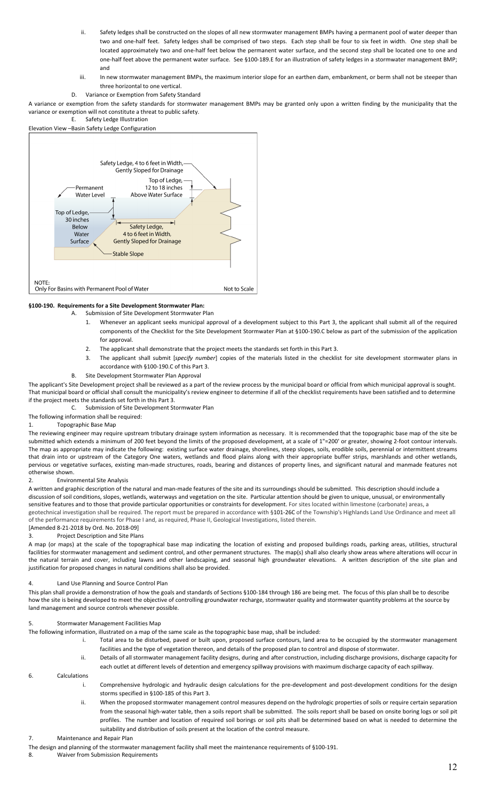- ii. Safety ledges shall be constructed on the slopes of all new stormwater management BMPs having a permanent pool of water deeper than two and one-half feet. Safety ledges shall be comprised of two steps. Each step shall be four to six feet in width. One step shall be located approximately two and one-half feet below the permanent water surface, and the second step shall be located one to one and one-half feet above the permanent water surface. See §100-189.E for an illustration of safety ledges in a stormwater management BMP; and
- iii. In new stormwater management BMPs, the maximum interior slope for an earthen dam, embankment, or berm shall not be steeper than three horizontal to one vertical.
- D. Variance or Exemption from Safety Standard

A variance or exemption from the safety standards for stormwater management BMPs may be granted only upon a written finding by the municipality that the variance or exemption will not constitute a threat to public safety.

E. Safety Ledge Illustration Elevation View –Basin Safety Ledge Configuration



#### **§100-190. Requirements for a Site Development Stormwater Plan:**

- A. Submission of Site Development Stormwater Plan
	- 1. Whenever an applicant seeks municipal approval of a development subject to this Part 3, the applicant shall submit all of the required components of the Checklist for the Site Development Stormwater Plan at §100-190.C below as part of the submission of the application for approval.
	- 2. The applicant shall demonstrate that the project meets the standards set forth in this Part 3.
	- 3. The applicant shall submit [*specify number*] copies of the materials listed in the checklist for site development stormwater plans in accordance with §100-190.C of this Part 3.
	- B. Site Development Stormwater Plan Approval

The applicant's Site Development project shall be reviewed as a part of the review process by the municipal board or official from which municipal approval is sought. That municipal board or official shall consult the municipality's review engineer to determine if all of the checklist requirements have been satisfied and to determine if the project meets the standards set forth in this Part 3.

C. Submission of Site Development Stormwater Plan

### The following information shall be required:

1. Topographic Base Map

The reviewing engineer may require upstream tributary drainage system information as necessary. It is recommended that the topographic base map of the site be submitted which extends a minimum of 200 feet beyond the limits of the proposed development, at a scale of 1"=200' or greater, showing 2-foot contour intervals. The map as appropriate may indicate the following: existing surface water drainage, shorelines, steep slopes, soils, erodible soils, perennial or intermittent streams that drain into or upstream of the Category One waters, wetlands and flood plains along with their appropriate buffer strips, marshlands and other wetlands, pervious or vegetative surfaces, existing man-made structures, roads, bearing and distances of property lines, and significant natural and manmade features not otherwise shown.

#### 2. Environmental Site Analysis

A written and graphic description of the natural and man-made features of the site and its surroundings should be submitted. This description should include a discussion of soil conditions, slopes, wetlands, waterways and vegetation on the site. Particular attention should be given to unique, unusual, or environmentally sensitive features and to those that provide particular opportunities or constraints for development. For sites located within limestone (carbonate) areas, a geotechnical investigation shall be required. The report must be prepared in accordance with §101-26C of the Township's Highlands Land Use Ordinance and meet all of the performance requirements for Phase I and, as required, Phase II, Geological Investigations, listed therein.

#### [Amended 8-21-2018 by Ord. No. 2018-09] 3. Project Description and Site Plans

A map (or maps) at the scale of the topographical base map indicating the location of existing and proposed buildings roads, parking areas, utilities, structural facilities for stormwater management and sediment control, and other permanent structures. The map(s) shall also clearly show areas where alterations will occur in the natural terrain and cover, including lawns and other landscaping, and seasonal high groundwater elevations. A written description of the site plan and justification for proposed changes in natural conditions shall also be provided.

#### 4. Land Use Planning and Source Control Plan

This plan shall provide a demonstration of how the goals and standards of Sections §100-184 through 186 are being met. The focus of this plan shall be to describe how the site is being developed to meet the objective of controlling groundwater recharge, stormwater quality and stormwater quantity problems at the source by land management and source controls whenever possible.

### 5. Stormwater Management Facilities Map

The following information, illustrated on a map of the same scale as the topographic base map, shall be included:

i. Total area to be disturbed, paved or built upon, proposed surface contours, land area to be occupied by the stormwater management facilities and the type of vegetation thereon, and details of the proposed plan to control and dispose of stormwater.

ii. Details of all stormwater management facility designs, during and after construction, including discharge provisions, discharge capacity for each outlet at different levels of detention and emergency spillway provisions with maximum discharge capacity of each spillway.

# 6. Calculations

- i. Comprehensive hydrologic and hydraulic design calculations for the pre-development and post-development conditions for the design storms specified in §100-185 of this Part 3.
	- ii. When the proposed stormwater management control measures depend on the hydrologic properties of soils or require certain separation from the seasonal high-water table, then a soils report shall be submitted. The soils report shall be based on onsite boring logs or soil pit profiles. The number and location of required soil borings or soil pits shall be determined based on what is needed to determine the suitability and distribution of soils present at the location of the control measure.

### 7. Maintenance and Repair Plan

The design and planning of the stormwater management facility shall meet the maintenance requirements of §100-191.

8. Waiver from Submission Requirements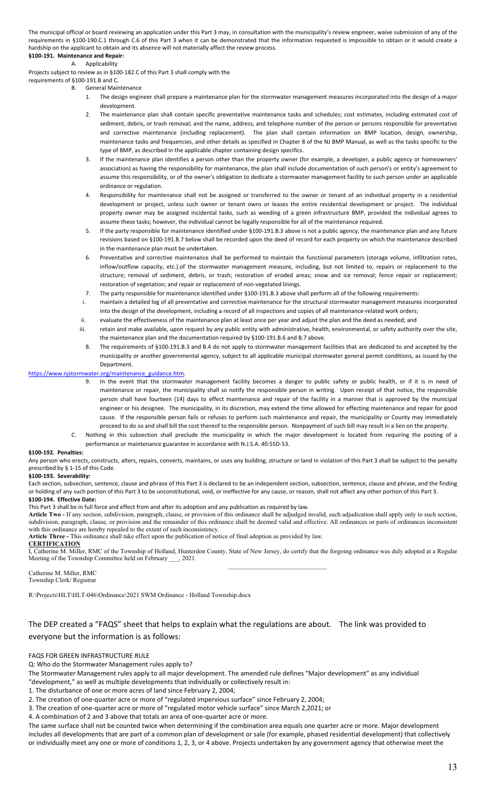The municipal official or board reviewing an application under this Part 3 may, in consultation with the municipality's review engineer, waive submission of any of the requirements in §100-190.C.1 through C.6 of this Part 3 when it can be demonstrated that the information requested is impossible to obtain or it would create a hardship on the applicant to obtain and its absence will not materially affect the review process. **§100-191. Maintenance and Repair:**

# A. Applicability

Projects subject to review as in §100-182.C of this Part 3 shall comply with the

requirements of §100-191.B and C.

B. General Maintenance

- 1. The design engineer shall prepare a maintenance plan for the stormwater management measures incorporated into the design of a major development.
- 2. The maintenance plan shall contain specific preventative maintenance tasks and schedules; cost estimates, including estimated cost of sediment, debris, or trash removal; and the name, address, and telephone number of the person or persons responsible for preventative and corrective maintenance (including replacement). The plan shall contain information on BMP location, design, ownership, maintenance tasks and frequencies, and other details as specified in Chapter 8 of the NJ BMP Manual, as well as the tasks specific to the type of BMP, as described in the applicable chapter containing design specifics.
- 3. If the maintenance plan identifies a person other than the property owner (for example, a developer, a public agency or homeowners' association) as having the responsibility for maintenance, the plan shall include documentation of such person's or entity's agreement to assume this responsibility, or of the owner's obligation to dedicate a stormwater management facility to such person under an applicable ordinance or regulation.
- 4. Responsibility for maintenance shall not be assigned or transferred to the owner or tenant of an individual property in a residential development or project, unless such owner or tenant owns or leases the entire residential development or project. The individual property owner may be assigned incidental tasks, such as weeding of a green infrastructure BMP, provided the individual agrees to assume these tasks; however, the individual cannot be legally responsible for all of the maintenance required.
- 5. If the party responsible for maintenance identified under §100-191.B.3 above is not a public agency, the maintenance plan and any future revisions based on §100-191.B.7 below shall be recorded upon the deed of record for each property on which the maintenance described in the maintenance plan must be undertaken.
- 6. Preventative and corrective maintenance shall be performed to maintain the functional parameters (storage volume, infiltration rates, inflow/outflow capacity, etc.).of the stormwater management measure, including, but not limited to, repairs or replacement to the structure; removal of sediment, debris, or trash; restoration of eroded areas; snow and ice removal; fence repair or replacement; restoration of vegetation; and repair or replacement of non-vegetated linings.
- 7. The party responsible for maintenance identified under §100-191.B.3 above shall perform all of the following requirements:
- i. maintain a detailed log of all preventative and corrective maintenance for the structural stormwater management measures incorporated into the design of the development, including a record of all inspections and copies of all maintenance-related work orders;
- ii. evaluate the effectiveness of the maintenance plan at least once per year and adjust the plan and the deed as needed; and
- iii. retain and make available, upon request by any public entity with administrative, health, environmental, or safety authority over the site, the maintenance plan and the documentation required by §100-191.B.6 and B.7 above.
- 8. The requirements of §100-191.B.3 and B.4 do not apply to stormwater management facilities that are dedicated to and accepted by the municipality or another governmental agency, subject to all applicable municipal stormwater general permit conditions, as issued by the Department.

#### https://www.njstormwater.org/maintenance\_guidance.htm.

- 9. In the event that the stormwater management facility becomes a danger to public safety or public health, or if it is in need of maintenance or repair, the municipality shall so notify the responsible person in writing. Upon receipt of that notice, the responsible person shall have fourteen (14) days to effect maintenance and repair of the facility in a manner that is approved by the municipal engineer or his designee. The municipality, in its discretion, may extend the time allowed for effecting maintenance and repair for good cause. If the responsible person fails or refuses to perform such maintenance and repair, the municipality or County may immediately proceed to do so and shall bill the cost thereof to the responsible person. Nonpayment of such bill may result in a lien on the property.
- Nothing in this subsection shall preclude the municipality in which the major development is located from requiring the posting of a performance or maintenance guarantee in accordance with N.J.S.A. 40:55D-53.

#### **§100-192. Penalties:**

Any person who erects, constructs, alters, repairs, converts, maintains, or uses any building, structure or land in violation of this Part [3](https://ecode360.com/14109322#14109322) shall be subject to the penalty prescribed by § [1-15](https://ecode360.com/14131825#14131825) of this Code.

#### **§100-193. Severability:**

Each section, subsection, sentence, clause and phrase of this Part 3 is declared to be an independent section, subsection, sentence, clause and phrase, and the finding or holding of any such portion of this Part 3 to be unconstitutional, void, or ineffective for any cause, or reason, shall not affect any other portion of this Part 3. **§100-194. Effective Date:**

#### This Part 3 shall be in full force and effect from and after its adoption and any publication as required by law.

**Article Two -** If any section, subdivision, paragraph, clause, or provision of this ordinance shall be adjudged invalid, such adjudication shall apply only to such section, subdivision, paragraph, clause, or provision and the remainder of this ordinance shall be deemed valid and effective. All ordinances or parts of ordinances inconsistent with this ordinance are hereby repealed to the extent of such inconsistency.

**Article Three -** This ordinance shall take effect upon the publication of notice of final adoption as provided by law. **CERTIFICATION**

#### I, Catherine M. Miller, RMC of the Township of Holland, Hunterdon County, State of New Jersey, do certify that the forgoing ordinance was duly adopted at a Regular Meeting of the Township Committee held on February \_\_\_, 2021.

Catherine M. Miller, RMC Township Clerk/ Registrar

R:\Projects\HLT\HLT-046\Ordinance\2021 SWM Ordinance - Holland Township.docx

# The DEP created a "FAQS" sheet that helps to explain what the regulations are about. The link was provided to everyone but the information is as follows:

### FAQS FOR GREEN INFRASTRUCTURE RULE

Q: Who do the Stormwater Management rules apply to?

The Stormwater Management rules apply to all major development. The amended rule defines "Major development" as any individual

"development," as well as multiple developments that individually or collectively result in: 1. The disturbance of one or more acres of land since February 2, 2004;

2. The creation of one-quarter acre or more of "regulated impervious surface" since February 2, 2004;

3. The creation of one-quarter acre or more of "regulated motor vehicle surface" since March 2,2021; or

4. A combination of 2 and 3 above that totals an area of one-quarter acre or more.

The same surface shall not be counted twice when determining if the combination area equals one quarter acre or more. Major development includes all developments that are part of a common plan of development or sale (for example, phased residential development) that collectively or individually meet any one or more of conditions 1, 2, 3, or 4 above. Projects undertaken by any government agency that otherwise meet the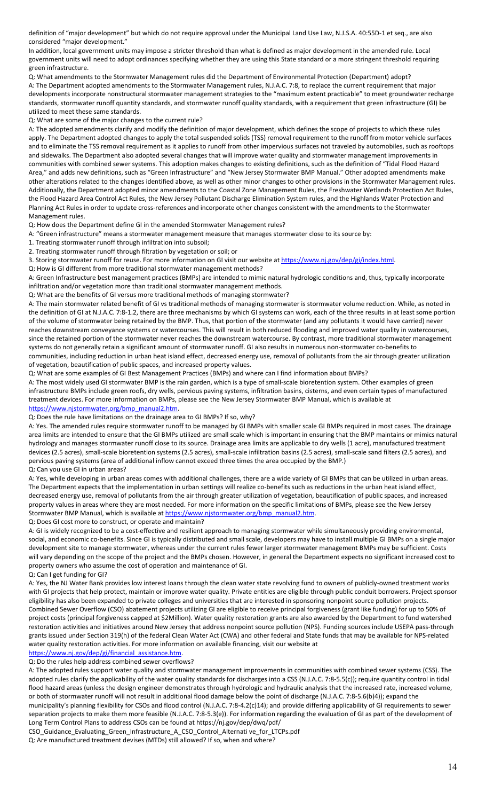definition of "major development" but which do not require approval under the Municipal Land Use Law, N.J.S.A. 40:55D-1 et seq., are also considered "major development."

In addition, local government units may impose a stricter threshold than what is defined as major development in the amended rule. Local government units will need to adopt ordinances specifying whether they are using this State standard or a more stringent threshold requiring green infrastructure.

Q: What amendments to the Stormwater Management rules did the Department of Environmental Protection (Department) adopt? A: The Department adopted amendments to the Stormwater Management rules, N.J.A.C. 7:8, to replace the current requirement that major developments incorporate nonstructural stormwater management strategies to the "maximum extent practicable" to meet groundwater recharge standards, stormwater runoff quantity standards, and stormwater runoff quality standards, with a requirement that green infrastructure (GI) be utilized to meet these same standards.

Q: What are some of the major changes to the current rule?

A: The adopted amendments clarify and modify the definition of major development, which defines the scope of projects to which these rules apply. The Department adopted changes to apply the total suspended solids (TSS) removal requirement to the runoff from motor vehicle surfaces and to eliminate the TSS removal requirement as it applies to runoff from other impervious surfaces not traveled by automobiles, such as rooftops and sidewalks. The Department also adopted several changes that will improve water quality and stormwater management improvements in communities with combined sewer systems. This adoption makes changes to existing definitions, such as the definition of "Tidal Flood Hazard Area," and adds new definitions, such as "Green Infrastructure" and "New Jersey Stormwater BMP Manual." Other adopted amendments make other alterations related to the changes identified above, as well as other minor changes to other provisions in the Stormwater Management rules. Additionally, the Department adopted minor amendments to the Coastal Zone Management Rules, the Freshwater Wetlands Protection Act Rules, the Flood Hazard Area Control Act Rules, the New Jersey Pollutant Discharge Elimination System rules, and the Highlands Water Protection and Planning Act Rules in order to update cross-references and incorporate other changes consistent with the amendments to the Stormwater Management rules.

Q: How does the Department define GI in the amended Stormwater Management rules?

A: "Green infrastructure" means a stormwater management measure that manages stormwater close to its source by:

1. Treating stormwater runoff through infiltration into subsoil;

2. Treating stormwater runoff through filtration by vegetation or soil; or

3. Storing stormwater runoff for reuse. For more information on GI visit our website at https://www.nj.gov/dep/gi/index.html.

Q: How is GI different from more traditional stormwater management methods?

A: Green Infrastructure best management practices (BMPs) are intended to mimic natural hydrologic conditions and, thus, typically incorporate infiltration and/or vegetation more than traditional stormwater management methods.

Q: What are the benefits of GI versus more traditional methods of managing stormwater?

A: The main stormwater related benefit of GI vs traditional methods of managing stormwater is stormwater volume reduction. While, as noted in the definition of GI at N.J.A.C. 7:8-1.2, there are three mechanisms by which GI systems can work, each of the three results in at least some portion of the volume of stormwater being retained by the BMP. Thus, that portion of the stormwater (and any pollutants it would have carried) never reaches downstream conveyance systems or watercourses. This will result in both reduced flooding and improved water quality in watercourses, since the retained portion of the stormwater never reaches the downstream watercourse. By contrast, more traditional stormwater management systems do not generally retain a significant amount of stormwater runoff. GI also results in numerous non-stormwater co-benefits to communities, including reduction in urban heat island effect, decreased energy use, removal of pollutants from the air through greater utilization of vegetation, beautification of public spaces, and increased property values.

Q: What are some examples of GI Best Management Practices (BMPs) and where can I find information about BMPs?

A: The most widely used GI stormwater BMP is the rain garden, which is a type of small-scale bioretention system. Other examples of green infrastructure BMPs include green roofs, dry wells, pervious paving systems, infiltration basins, cisterns, and even certain types of manufactured treatment devices. For more information on BMPs, please see the New Jersey Stormwater BMP Manual, which is available at [https://www.njstormwater.org/bmp\\_manual2.htm.](https://www.njstormwater.org/bmp_manual2.htm)

#### Q: Does the rule have limitations on the drainage area to GI BMPs? If so, why?

A: Yes. The amended rules require stormwater runoff to be managed by GI BMPs with smaller scale GI BMPs required in most cases. The drainage area limits are intended to ensure that the GI BMPs utilized are small scale which is important in ensuring that the BMP maintains or mimics natural hydrology and manages stormwater runoff close to its source. Drainage area limits are applicable to dry wells (1 acre), manufactured treatment devices (2.5 acres), small-scale bioretention systems (2.5 acres), small-scale infiltration basins (2.5 acres), small-scale sand filters (2.5 acres), and pervious paving systems (area of additional inflow cannot exceed three times the area occupied by the BMP.)

Q: Can you use GI in urban areas?

A: Yes, while developing in urban areas comes with additional challenges, there are a wide variety of GI BMPs that can be utilized in urban areas. The Department expects that the implementation in urban settings will realize co-benefits such as reductions in the urban heat island effect, decreased energy use, removal of pollutants from the air through greater utilization of vegetation, beautification of public spaces, and increased property values in areas where they are most needed. For more information on the specific limitations of BMPs, please see the New Jersey Stormwater BMP Manual, which is available a[t https://www.njstormwater.org/bmp\\_manual2.htm.](https://www.njstormwater.org/bmp_manual2.htm)

Q: Does GI cost more to construct, or operate and maintain?

A: GI is widely recognized to be a cost-effective and resilient approach to managing stormwater while simultaneously providing environmental, social, and economic co-benefits. Since GI is typically distributed and small scale, developers may have to install multiple GI BMPs on a single major development site to manage stormwater, whereas under the current rules fewer larger stormwater management BMPs may be sufficient. Costs will vary depending on the scope of the project and the BMPs chosen. However, in general the Department expects no significant increased cost to property owners who assume the cost of operation and maintenance of GI.

Q: Can I get funding for GI?

A: Yes, the NJ Water Bank provides low interest loans through the clean water state revolving fund to owners of publicly-owned treatment works with GI projects that help protect, maintain or improve water quality. Private entities are eligible through public conduit borrowers. Project sponsor eligibility has also been expanded to private colleges and universities that are interested in sponsoring nonpoint source pollution projects. Combined Sewer Overflow (CSO) abatement projects utilizing GI are eligible to receive principal forgiveness (grant like funding) for up to 50% of project costs (principal forgiveness capped at \$2Million). Water quality restoration grants are also awarded by the Department to fund watershed restoration activities and initiatives around New Jersey that address nonpoint source pollution (NPS). Funding sources include USEPA pass-through grants issued under Section 319(h) of the federal Clean Water Act (CWA) and other federal and State funds that may be available for NPS-related water quality restoration activities. For more information on available financing, visit our website at

[https://www.nj.gov/dep/gi/financial\\_assistance.htm.](https://www.nj.gov/dep/gi/financial_assistance.htm) 

Q: Do the rules help address combined sewer overflows?

A: The adopted rules support water quality and stormwater management improvements in communities with combined sewer systems (CSS). The adopted rules clarify the applicability of the water quality standards for discharges into a CSS (N.J.A.C. 7:8-5.5(c)); require quantity control in tidal flood hazard areas (unless the design engineer demonstrates through hydrologic and hydraulic analysis that the increased rate, increased volume, or both of stormwater runoff will not result in additional flood damage below the point of discharge (N.J.A.C. 7:8-5.6(b)4)); expand the municipality's planning flexibility for CSOs and flood control (N.J.A.C. 7:8-4.2(c)14); and provide differing applicability of GI requirements to sewer

separation projects to make them more feasible (N.J.A.C. 7:8-5.3(e)). For information regarding the evaluation of GI as part of the development of Long Term Control Plans to address CSOs can be found at https://nj.gov/dep/dwq/pdf/

CSO\_Guidance\_Evaluating\_Green\_Infrastructure\_A\_CSO\_Control\_Alternati ve\_for\_LTCPs.pdf

Q: Are manufactured treatment devises (MTDs) still allowed? If so, when and where?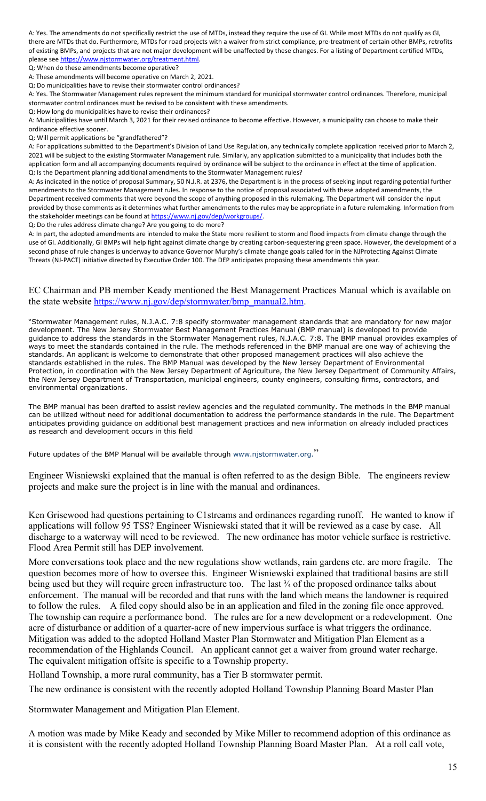A: Yes. The amendments do not specifically restrict the use of MTDs, instead they require the use of GI. While most MTDs do not qualify as GI, there are MTDs that do. Furthermore, MTDs for road projects with a waiver from strict compliance, pre-treatment of certain other BMPs, retrofits of existing BMPs, and projects that are not major development will be unaffected by these changes. For a listing of Department certified MTDs, please se[e https://www.njstormwater.org/treatment.html.](https://www.njstormwater.org/treatment.html) 

Q: When do these amendments become operative?

A: These amendments will become operative on March 2, 2021.

Q: Do municipalities have to revise their stormwater control ordinances?

A: Yes. The Stormwater Management rules represent the minimum standard for municipal stormwater control ordinances. Therefore, municipal stormwater control ordinances must be revised to be consistent with these amendments.

Q: How long do municipalities have to revise their ordinances?

A: Municipalities have until March 3, 2021 for their revised ordinance to become effective. However, a municipality can choose to make their ordinance effective sooner.

Q: Will permit applications be "grandfathered"?

A: For applications submitted to the Department's Division of Land Use Regulation, any technically complete application received prior to March 2, 2021 will be subject to the existing Stormwater Management rule. Similarly, any application submitted to a municipality that includes both the application form and all accompanying documents required by ordinance will be subject to the ordinance in effect at the time of application. Q: Is the Department planning additional amendments to the Stormwater Management rules?

A: As indicated in the notice of proposal Summary, 50 N.J.R. at 2376, the Department is in the process of seeking input regarding potential further amendments to the Stormwater Management rules. In response to the notice of proposal associated with these adopted amendments, the Department received comments that were beyond the scope of anything proposed in this rulemaking. The Department will consider the input provided by those comments as it determines what further amendments to the rules may be appropriate in a future rulemaking. Information from the stakeholder meetings can be found at https://www.nj.gov/dep/workgroups/.

Q: Do the rules address climate change? Are you going to do more?

A: In part, the adopted amendments are intended to make the State more resilient to storm and flood impacts from climate change through the use of GI. Additionally, GI BMPs will help fight against climate change by creating carbon-sequestering green space. However, the development of a second phase of rule changes is underway to advance Governor Murphy's climate change goals called for in the NJProtecting Against Climate Threats (NJ-PACT) initiative directed by Executive Order 100. The DEP anticipates proposing these amendments this year.

### EC Chairman and PB member Keady mentioned the Best Management Practices Manual which is available on the state website [https://www.nj.gov/dep/stormwater/bmp\\_manual2.htm.](https://www.nj.gov/dep/stormwater/bmp_manual2.htm)

"Stormwater Management rules, N.J.A.C. 7:8 specify stormwater management standards that are mandatory for new major development. The New Jersey Stormwater Best Management Practices Manual (BMP manual) is developed to provide guidance to address the standards in the Stormwater Management rules, N.J.A.C. 7:8. The BMP manual provides examples of ways to meet the standards contained in the rule. The methods referenced in the BMP manual are one way of achieving the standards. An applicant is welcome to demonstrate that other proposed management practices will also achieve the standards established in the rules. The BMP Manual was developed by the New Jersey Department of Environmental Protection, in coordination with the New Jersey Department of Agriculture, the New Jersey Department of Community Affairs, the New Jersey Department of Transportation, municipal engineers, county engineers, consulting firms, contractors, and environmental organizations.

The BMP manual has been drafted to assist review agencies and the regulated community. The methods in the BMP manual can be utilized without need for additional documentation to address the performance standards in the rule. The Department anticipates providing guidance on additional best management practices and new information on already included practices as research and development occurs in this field

Future updates of the BMP Manual will be available through [www.njstormwater.org.](https://www.njstormwater.org/)"

Engineer Wisniewski explained that the manual is often referred to as the design Bible. The engineers review projects and make sure the project is in line with the manual and ordinances.

Ken Grisewood had questions pertaining to C1streams and ordinances regarding runoff. He wanted to know if applications will follow 95 TSS? Engineer Wisniewski stated that it will be reviewed as a case by case. All discharge to a waterway will need to be reviewed. The new ordinance has motor vehicle surface is restrictive. Flood Area Permit still has DEP involvement.

More conversations took place and the new regulations show wetlands, rain gardens etc. are more fragile. The question becomes more of how to oversee this. Engineer Wisniewski explained that traditional basins are still being used but they will require green infrastructure too. The last <sup>3/4</sup> of the proposed ordinance talks about enforcement. The manual will be recorded and that runs with the land which means the landowner is required to follow the rules. A filed copy should also be in an application and filed in the zoning file once approved. The township can require a performance bond. The rules are for a new development or a redevelopment. One acre of disturbance or addition of a quarter-acre of new impervious surface is what triggers the ordinance. Mitigation was added to the adopted Holland Master Plan Stormwater and Mitigation Plan Element as a recommendation of the Highlands Council. An applicant cannot get a waiver from ground water recharge. The equivalent mitigation offsite is specific to a Township property.

Holland Township, a more rural community, has a Tier B stormwater permit.

The new ordinance is consistent with the recently adopted Holland Township Planning Board Master Plan

Stormwater Management and Mitigation Plan Element.

A motion was made by Mike Keady and seconded by Mike Miller to recommend adoption of this ordinance as it is consistent with the recently adopted Holland Township Planning Board Master Plan. At a roll call vote,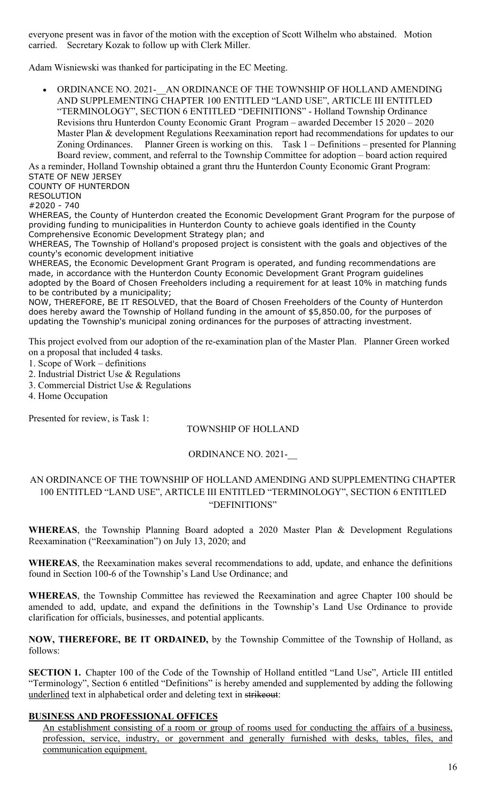everyone present was in favor of the motion with the exception of Scott Wilhelm who abstained. Motion carried. Secretary Kozak to follow up with Clerk Miller.

Adam Wisniewski was thanked for participating in the EC Meeting.

• ORDINANCE NO. 2021-\_\_AN ORDINANCE OF THE TOWNSHIP OF HOLLAND AMENDING AND SUPPLEMENTING CHAPTER 100 ENTITLED "LAND USE", ARTICLE III ENTITLED "TERMINOLOGY", SECTION 6 ENTITLED "DEFINITIONS" - Holland Township Ordinance Revisions thru Hunterdon County Economic Grant Program – awarded December 15 2020 – 2020 Master Plan & development Regulations Reexamination report had recommendations for updates to our Zoning Ordinances. Planner Green is working on this. Task 1 – Definitions – presented for Planning Board review, comment, and referral to the Township Committee for adoption – board action required

As a reminder, Holland Township obtained a grant thru the Hunterdon County Economic Grant Program: STATE OF NEW JERSEY

COUNTY OF HUNTERDON

RESOLUTION

#2020 - 740

WHEREAS, the County of Hunterdon created the Economic Development Grant Program for the purpose of providing funding to municipalities in Hunterdon County to achieve goals identified in the County Comprehensive Economic Development Strategy plan; and

WHEREAS, The Township of Holland's proposed project is consistent with the goals and objectives of the county's economic development initiative

WHEREAS, the Economic Development Grant Program is operated, and funding recommendations are made, in accordance with the Hunterdon County Economic Development Grant Program guidelines adopted by the Board of Chosen Freeholders including a requirement for at least 10% in matching funds to be contributed by a municipality;

NOW, THEREFORE, BE IT RESOLVED, that the Board of Chosen Freeholders of the County of Hunterdon does hereby award the Township of Holland funding in the amount of \$5,850.00, for the purposes of updating the Township's municipal zoning ordinances for the purposes of attracting investment.

This project evolved from our adoption of the re-examination plan of the Master Plan. Planner Green worked on a proposal that included 4 tasks.

- 1. Scope of Work definitions
- 2. Industrial District Use & Regulations
- 3. Commercial District Use & Regulations

4. Home Occupation

Presented for review, is Task 1:

# TOWNSHIP OF HOLLAND

# ORDINANCE NO. 2021-\_\_

# AN ORDINANCE OF THE TOWNSHIP OF HOLLAND AMENDING AND SUPPLEMENTING CHAPTER 100 ENTITLED "LAND USE", ARTICLE III ENTITLED "TERMINOLOGY", SECTION 6 ENTITLED "DEFINITIONS"

**WHEREAS**, the Township Planning Board adopted a 2020 Master Plan & Development Regulations Reexamination ("Reexamination") on July 13, 2020; and

**WHEREAS**, the Reexamination makes several recommendations to add, update, and enhance the definitions found in Section 100-6 of the Township's Land Use Ordinance; and

**WHEREAS**, the Township Committee has reviewed the Reexamination and agree Chapter 100 should be amended to add, update, and expand the definitions in the Township's Land Use Ordinance to provide clarification for officials, businesses, and potential applicants.

**NOW, THEREFORE, BE IT ORDAINED,** by the Township Committee of the Township of Holland, as follows:

**SECTION 1.** Chapter 100 of the Code of the Township of Holland entitled "Land Use", Article III entitled "Terminology", Section 6 entitled "Definitions" is hereby amended and supplemented by adding the following underlined text in alphabetical order and deleting text in strikeout:

# **BUSINESS AND PROFESSIONAL OFFICES**

An establishment consisting of a room or group of rooms used for conducting the affairs of a business, profession, service, industry, or government and generally furnished with desks, tables, files, and communication equipment.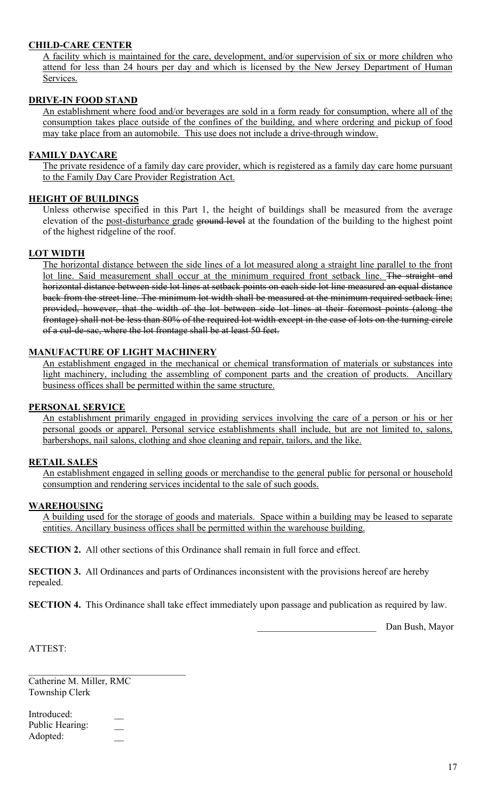# **CHILD-CARE CENTER**

A facility which is maintained for the care, development, and/or supervision of six or more children who attend for less than 24 hours per day and which is licensed by the New Jersey Department of Human Services.

# **DRIVE-IN FOOD STAND**

An establishment where food and/or beverages are sold in a form ready for consumption, where all of the consumption takes place outside of the confines of the building, and where ordering and pickup of food may take place from an automobile. This use does not include a drive-through window.

# **FAMILY DAYCARE**

The private residence of a family day care provider, which is registered as a family day care home pursuant to the Family Day Care Provider Registration Act.

# **HEIGHT OF BUILDINGS**

Unless otherwise specified in this Part 1, the height of buildings shall be measured from the average elevation of the post-disturbance grade ground level at the foundation of the building to the highest point of the highest ridgeline of the roof.

# **LOT WIDTH**

The horizontal distance between the side lines of a lot measured along a straight line parallel to the front lot line. Said measurement shall occur at the minimum required front setback line. The straight and horizontal distance between side lot lines at setback points on each side lot line measured an equal distance back from the street line. The minimum lot width shall be measured at the minimum required setback line; provided, however, that the width of the lot between side lot lines at their foremost points (along the frontage) shall not be less than 80% of the required lot width except in the case of lots on the turning circle of a cul-de-sac, where the lot frontage shall be at least 50 feet.

# **MANUFACTURE OF LIGHT MACHINERY**

An establishment engaged in the mechanical or chemical transformation of materials or substances into light machinery, including the assembling of component parts and the creation of products. Ancillary business offices shall be permitted within the same structure.

# **PERSONAL SERVICE**

An establishment primarily engaged in providing services involving the care of a person or his or her personal goods or apparel. Personal service establishments shall include, but are not limited to, salons, barbershops, nail salons, clothing and shoe cleaning and repair, tailors, and the like.

# **RETAIL SALES**

An establishment engaged in selling goods or merchandise to the general public for personal or household consumption and rendering services incidental to the sale of such goods.

# **WAREHOUSING**

A building used for the storage of goods and materials. Space within a building may be leased to separate entities. Ancillary business offices shall be permitted within the warehouse building.

**SECTION 2.** All other sections of this Ordinance shall remain in full force and effect.

**SECTION 3.** All Ordinances and parts of Ordinances inconsistent with the provisions hereof are hereby repealed.

**SECTION 4.** This Ordinance shall take effect immediately upon passage and publication as required by law.

Dan Bush, Mayor

ATTEST:

Catherine M. Miller, RMC Township Clerk

 $\mathcal{L}_\mathcal{L}$  , where  $\mathcal{L}_\mathcal{L}$  , we have the set of the set of the set of the set of the set of the set of the set of the set of the set of the set of the set of the set of the set of the set of the set of the set

| Introduced:     |  |
|-----------------|--|
| Public Hearing: |  |
| Adopted:        |  |
|                 |  |